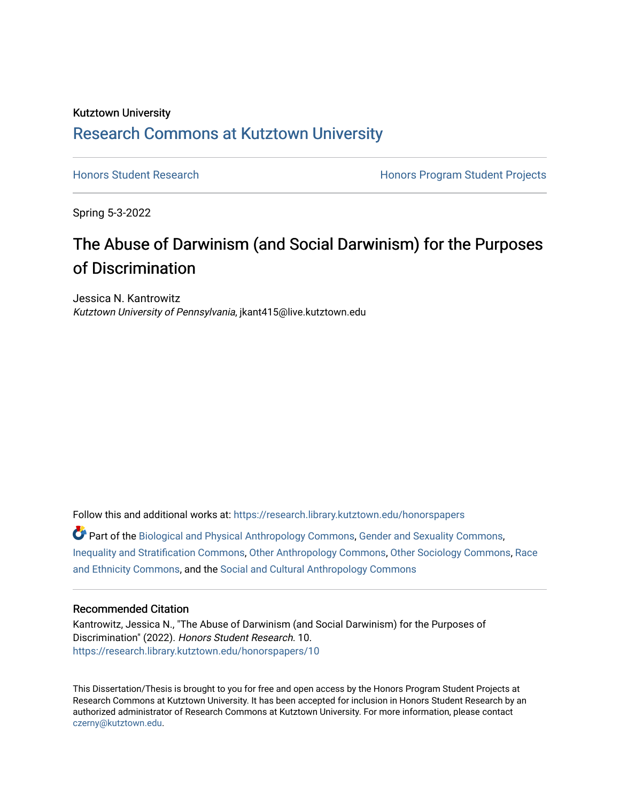## Kutztown University [Research Commons at Kutztown University](https://research.library.kutztown.edu/)

[Honors Student Research](https://research.library.kutztown.edu/honorspapers) **Honors Program Student Projects Honors Program Student Projects** 

Spring 5-3-2022

# The Abuse of Darwinism (and Social Darwinism) for the Purposes of Discrimination

Jessica N. Kantrowitz Kutztown University of Pennsylvania, jkant415@live.kutztown.edu

Follow this and additional works at: [https://research.library.kutztown.edu/honorspapers](https://research.library.kutztown.edu/honorspapers?utm_source=research.library.kutztown.edu%2Fhonorspapers%2F10&utm_medium=PDF&utm_campaign=PDFCoverPages)

Part of the [Biological and Physical Anthropology Commons](https://network.bepress.com/hgg/discipline/320?utm_source=research.library.kutztown.edu%2Fhonorspapers%2F10&utm_medium=PDF&utm_campaign=PDFCoverPages), [Gender and Sexuality Commons,](https://network.bepress.com/hgg/discipline/420?utm_source=research.library.kutztown.edu%2Fhonorspapers%2F10&utm_medium=PDF&utm_campaign=PDFCoverPages) [Inequality and Stratification Commons,](https://network.bepress.com/hgg/discipline/421?utm_source=research.library.kutztown.edu%2Fhonorspapers%2F10&utm_medium=PDF&utm_campaign=PDFCoverPages) [Other Anthropology Commons](https://network.bepress.com/hgg/discipline/324?utm_source=research.library.kutztown.edu%2Fhonorspapers%2F10&utm_medium=PDF&utm_campaign=PDFCoverPages), [Other Sociology Commons,](https://network.bepress.com/hgg/discipline/434?utm_source=research.library.kutztown.edu%2Fhonorspapers%2F10&utm_medium=PDF&utm_campaign=PDFCoverPages) [Race](https://network.bepress.com/hgg/discipline/426?utm_source=research.library.kutztown.edu%2Fhonorspapers%2F10&utm_medium=PDF&utm_campaign=PDFCoverPages) [and Ethnicity Commons,](https://network.bepress.com/hgg/discipline/426?utm_source=research.library.kutztown.edu%2Fhonorspapers%2F10&utm_medium=PDF&utm_campaign=PDFCoverPages) and the [Social and Cultural Anthropology Commons](https://network.bepress.com/hgg/discipline/323?utm_source=research.library.kutztown.edu%2Fhonorspapers%2F10&utm_medium=PDF&utm_campaign=PDFCoverPages)

#### Recommended Citation

Kantrowitz, Jessica N., "The Abuse of Darwinism (and Social Darwinism) for the Purposes of Discrimination" (2022). Honors Student Research. 10. [https://research.library.kutztown.edu/honorspapers/10](https://research.library.kutztown.edu/honorspapers/10?utm_source=research.library.kutztown.edu%2Fhonorspapers%2F10&utm_medium=PDF&utm_campaign=PDFCoverPages) 

This Dissertation/Thesis is brought to you for free and open access by the Honors Program Student Projects at Research Commons at Kutztown University. It has been accepted for inclusion in Honors Student Research by an authorized administrator of Research Commons at Kutztown University. For more information, please contact [czerny@kutztown.edu](mailto:czerny@kutztown.edu).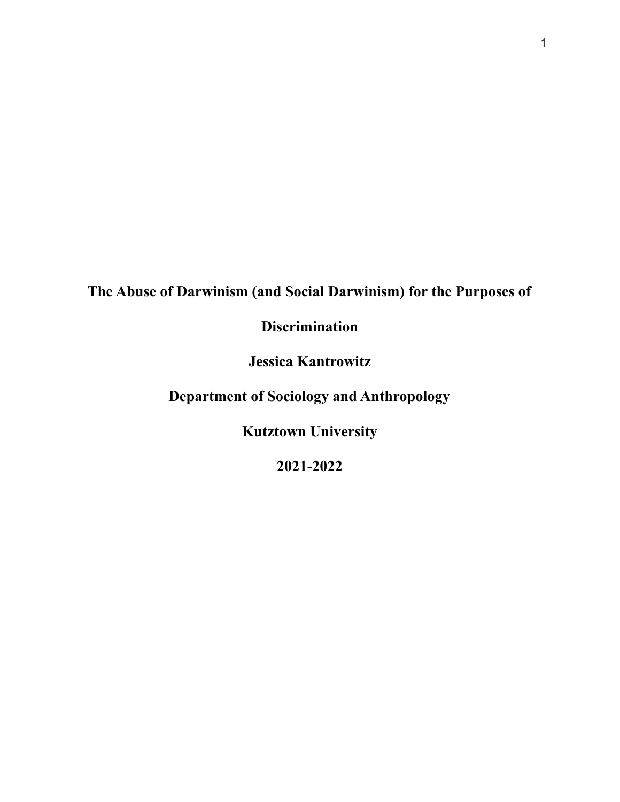# **The Abuse of Darwinism (and Social Darwinism) for the Purposes of**

# **Discrimination**

**Jessica Kantrowitz**

**Department of Sociology and Anthropology**

**Kutztown University**

**2021-2022**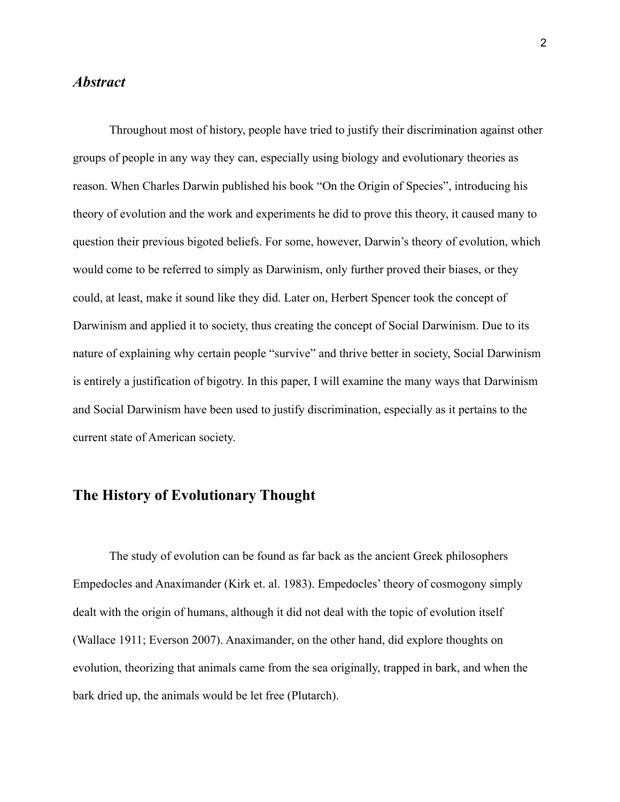#### *Abstract*

Throughout most of history, people have tried to justify their discrimination against other groups of people in any way they can, especially using biology and evolutionary theories as reason. When Charles Darwin published his book "On the Origin of Species", introducing his theory of evolution and the work and experiments he did to prove this theory, it caused many to question their previous bigoted beliefs. For some, however, Darwin's theory of evolution, which would come to be referred to simply as Darwinism, only further proved their biases, or they could, at least, make it sound like they did. Later on, Herbert Spencer took the concept of Darwinism and applied it to society, thus creating the concept of Social Darwinism. Due to its nature of explaining why certain people "survive" and thrive better in society, Social Darwinism is entirely a justification of bigotry. In this paper, I will examine the many ways that Darwinism and Social Darwinism have been used to justify discrimination, especially as it pertains to the current state of American society.

#### **The History of Evolutionary Thought**

The study of evolution can be found as far back as the ancient Greek philosophers Empedocles and Anaximander (Kirk et. al. 1983). Empedocles' theory of cosmogony simply dealt with the origin of humans, although it did not deal with the topic of evolution itself (Wallace 1911; Everson 2007). Anaximander, on the other hand, did explore thoughts on evolution, theorizing that animals came from the sea originally, trapped in bark, and when the bark dried up, the animals would be let free (Plutarch).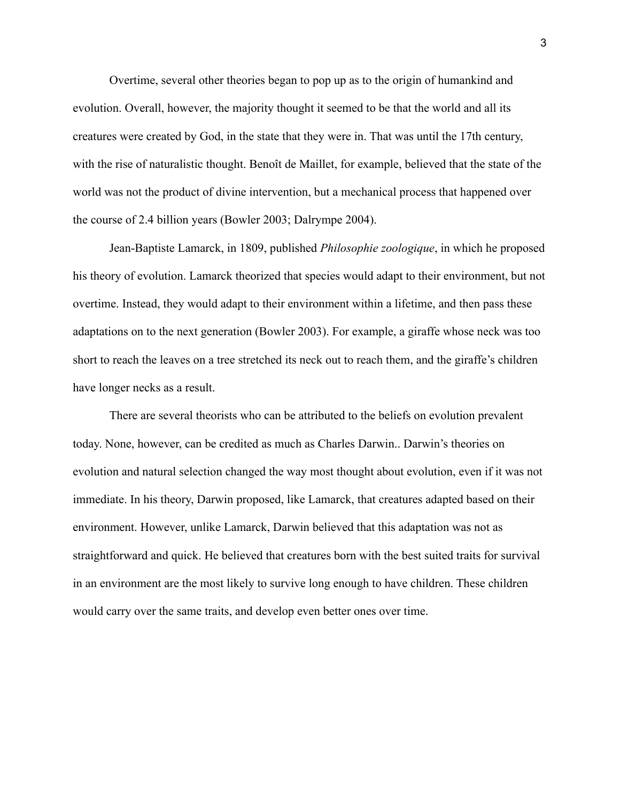Overtime, several other theories began to pop up as to the origin of humankind and evolution. Overall, however, the majority thought it seemed to be that the world and all its creatures were created by God, in the state that they were in. That was until the 17th century, with the rise of naturalistic thought. Benoît de Maillet, for example, believed that the state of the world was not the product of divine intervention, but a mechanical process that happened over the course of 2.4 billion years (Bowler 2003; Dalrympe 2004).

Jean-Baptiste Lamarck, in 1809, published *Philosophie zoologique*, in which he proposed his theory of evolution. Lamarck theorized that species would adapt to their environment, but not overtime. Instead, they would adapt to their environment within a lifetime, and then pass these adaptations on to the next generation (Bowler 2003). For example, a giraffe whose neck was too short to reach the leaves on a tree stretched its neck out to reach them, and the giraffe's children have longer necks as a result.

There are several theorists who can be attributed to the beliefs on evolution prevalent today. None, however, can be credited as much as Charles Darwin.. Darwin's theories on evolution and natural selection changed the way most thought about evolution, even if it was not immediate. In his theory, Darwin proposed, like Lamarck, that creatures adapted based on their environment. However, unlike Lamarck, Darwin believed that this adaptation was not as straightforward and quick. He believed that creatures born with the best suited traits for survival in an environment are the most likely to survive long enough to have children. These children would carry over the same traits, and develop even better ones over time.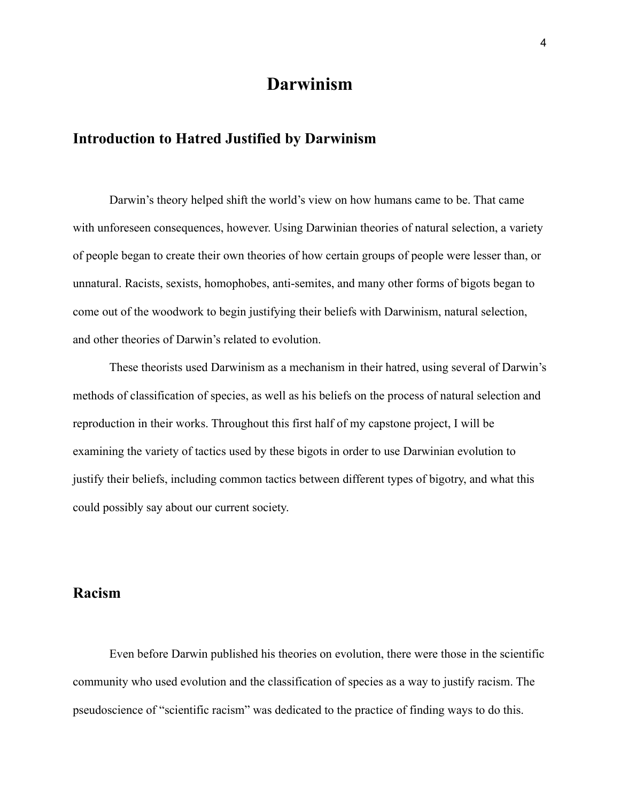## **Darwinism**

#### **Introduction to Hatred Justified by Darwinism**

Darwin's theory helped shift the world's view on how humans came to be. That came with unforeseen consequences, however. Using Darwinian theories of natural selection, a variety of people began to create their own theories of how certain groups of people were lesser than, or unnatural. Racists, sexists, homophobes, anti-semites, and many other forms of bigots began to come out of the woodwork to begin justifying their beliefs with Darwinism, natural selection, and other theories of Darwin's related to evolution.

These theorists used Darwinism as a mechanism in their hatred, using several of Darwin's methods of classification of species, as well as his beliefs on the process of natural selection and reproduction in their works. Throughout this first half of my capstone project, I will be examining the variety of tactics used by these bigots in order to use Darwinian evolution to justify their beliefs, including common tactics between different types of bigotry, and what this could possibly say about our current society.

#### **Racism**

Even before Darwin published his theories on evolution, there were those in the scientific community who used evolution and the classification of species as a way to justify racism. The pseudoscience of "scientific racism" was dedicated to the practice of finding ways to do this.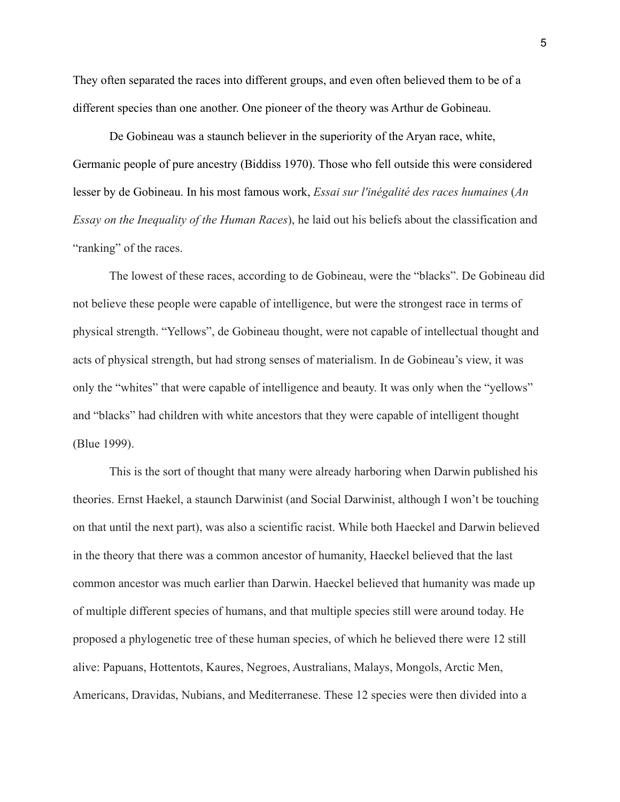They often separated the races into different groups, and even often believed them to be of a different species than one another. One pioneer of the theory was Arthur de Gobineau.

De Gobineau was a staunch believer in the superiority of the Aryan race, white, Germanic people of pure ancestry (Biddiss 1970). Those who fell outside this were considered lesser by de Gobineau. In his most famous work, *Essai sur l'inégalité des races humaines* (*An Essay on the Inequality of the Human Races*), he laid out his beliefs about the classification and "ranking" of the races.

The lowest of these races, according to de Gobineau, were the "blacks". De Gobineau did not believe these people were capable of intelligence, but were the strongest race in terms of physical strength. "Yellows", de Gobineau thought, were not capable of intellectual thought and acts of physical strength, but had strong senses of materialism. In de Gobineau's view, it was only the "whites" that were capable of intelligence and beauty. It was only when the "yellows" and "blacks" had children with white ancestors that they were capable of intelligent thought (Blue 1999).

This is the sort of thought that many were already harboring when Darwin published his theories. Ernst Haekel, a staunch Darwinist (and Social Darwinist, although I won't be touching on that until the next part), was also a scientific racist. While both Haeckel and Darwin believed in the theory that there was a common ancestor of humanity, Haeckel believed that the last common ancestor was much earlier than Darwin. Haeckel believed that humanity was made up of multiple different species of humans, and that multiple species still were around today. He proposed a phylogenetic tree of these human species, of which he believed there were 12 still alive: Papuans, Hottentots, Kaures, Negroes, Australians, Malays, Mongols, Arctic Men, Americans, Dravidas, Nubians, and Mediterranese. These 12 species were then divided into a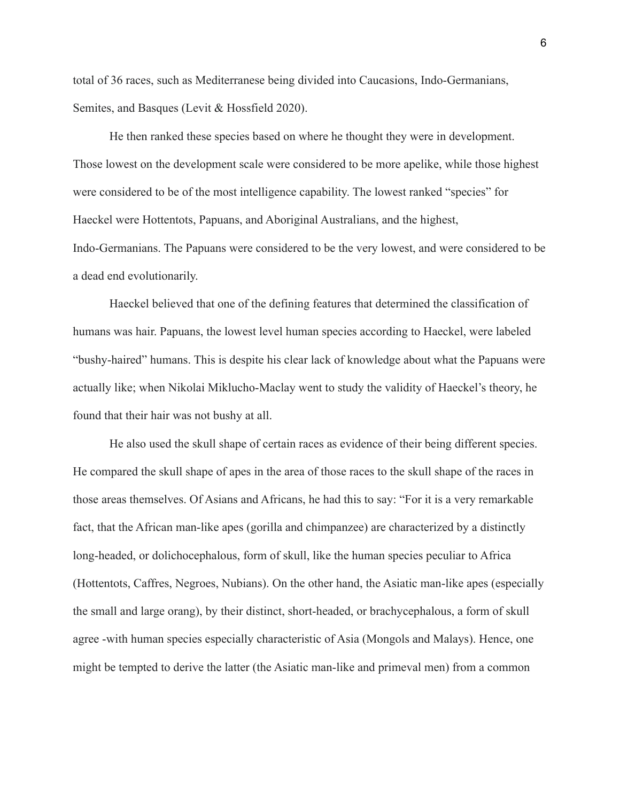total of 36 races, such as Mediterranese being divided into Caucasions, Indo-Germanians, Semites, and Basques (Levit & Hossfield 2020).

He then ranked these species based on where he thought they were in development. Those lowest on the development scale were considered to be more apelike, while those highest were considered to be of the most intelligence capability. The lowest ranked "species" for Haeckel were Hottentots, Papuans, and Aboriginal Australians, and the highest, Indo-Germanians. The Papuans were considered to be the very lowest, and were considered to be a dead end evolutionarily.

Haeckel believed that one of the defining features that determined the classification of humans was hair. Papuans, the lowest level human species according to Haeckel, were labeled "bushy-haired" humans. This is despite his clear lack of knowledge about what the Papuans were actually like; when Nikolai Miklucho-Maclay went to study the validity of Haeckel's theory, he found that their hair was not bushy at all.

He also used the skull shape of certain races as evidence of their being different species. He compared the skull shape of apes in the area of those races to the skull shape of the races in those areas themselves. Of Asians and Africans, he had this to say: "For it is a very remarkable fact, that the African man-like apes (gorilla and chimpanzee) are characterized by a distinctly long-headed, or dolichocephalous, form of skull, like the human species peculiar to Africa (Hottentots, Caffres, Negroes, Nubians). On the other hand, the Asiatic man-like apes (especially the small and large orang), by their distinct, short-headed, or brachycephalous, a form of skull agree -with human species especially characteristic of Asia (Mongols and Malays). Hence, one might be tempted to derive the latter (the Asiatic man-like and primeval men) from a common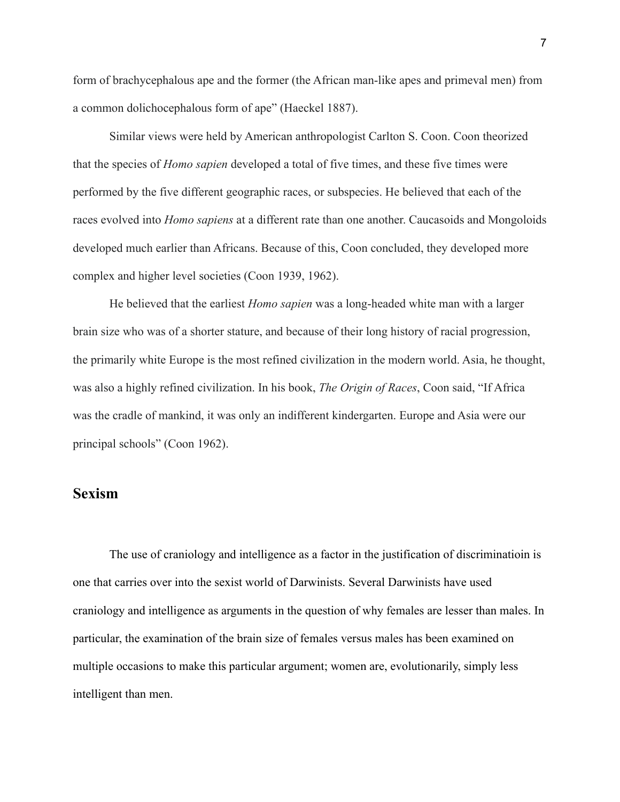form of brachycephalous ape and the former (the African man-like apes and primeval men) from a common dolichocephalous form of ape" (Haeckel 1887).

Similar views were held by American anthropologist Carlton S. Coon. Coon theorized that the species of *Homo sapien* developed a total of five times, and these five times were performed by the five different geographic races, or subspecies. He believed that each of the races evolved into *Homo sapiens* at a different rate than one another. Caucasoids and Mongoloids developed much earlier than Africans. Because of this, Coon concluded, they developed more complex and higher level societies (Coon 1939, 1962).

He believed that the earliest *Homo sapien* was a long-headed white man with a larger brain size who was of a shorter stature, and because of their long history of racial progression, the primarily white Europe is the most refined civilization in the modern world. Asia, he thought, was also a highly refined civilization. In his book, *The Origin of Races*, Coon said, "If Africa was the cradle of mankind, it was only an indifferent kindergarten. Europe and Asia were our principal schools" (Coon 1962).

#### **Sexism**

The use of craniology and intelligence as a factor in the justification of discriminatioin is one that carries over into the sexist world of Darwinists. Several Darwinists have used craniology and intelligence as arguments in the question of why females are lesser than males. In particular, the examination of the brain size of females versus males has been examined on multiple occasions to make this particular argument; women are, evolutionarily, simply less intelligent than men.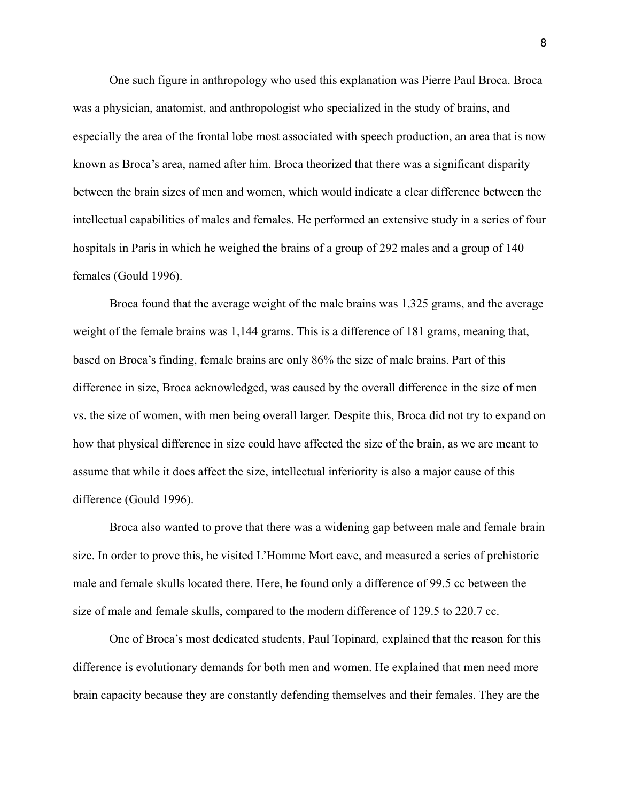One such figure in anthropology who used this explanation was Pierre Paul Broca. Broca was a physician, anatomist, and anthropologist who specialized in the study of brains, and especially the area of the frontal lobe most associated with speech production, an area that is now known as Broca's area, named after him. Broca theorized that there was a significant disparity between the brain sizes of men and women, which would indicate a clear difference between the intellectual capabilities of males and females. He performed an extensive study in a series of four hospitals in Paris in which he weighed the brains of a group of 292 males and a group of 140 females (Gould 1996).

Broca found that the average weight of the male brains was 1,325 grams, and the average weight of the female brains was 1,144 grams. This is a difference of 181 grams, meaning that, based on Broca's finding, female brains are only 86% the size of male brains. Part of this difference in size, Broca acknowledged, was caused by the overall difference in the size of men vs. the size of women, with men being overall larger. Despite this, Broca did not try to expand on how that physical difference in size could have affected the size of the brain, as we are meant to assume that while it does affect the size, intellectual inferiority is also a major cause of this difference (Gould 1996).

Broca also wanted to prove that there was a widening gap between male and female brain size. In order to prove this, he visited L'Homme Mort cave, and measured a series of prehistoric male and female skulls located there. Here, he found only a difference of 99.5 cc between the size of male and female skulls, compared to the modern difference of 129.5 to 220.7 cc.

One of Broca's most dedicated students, Paul Topinard, explained that the reason for this difference is evolutionary demands for both men and women. He explained that men need more brain capacity because they are constantly defending themselves and their females. They are the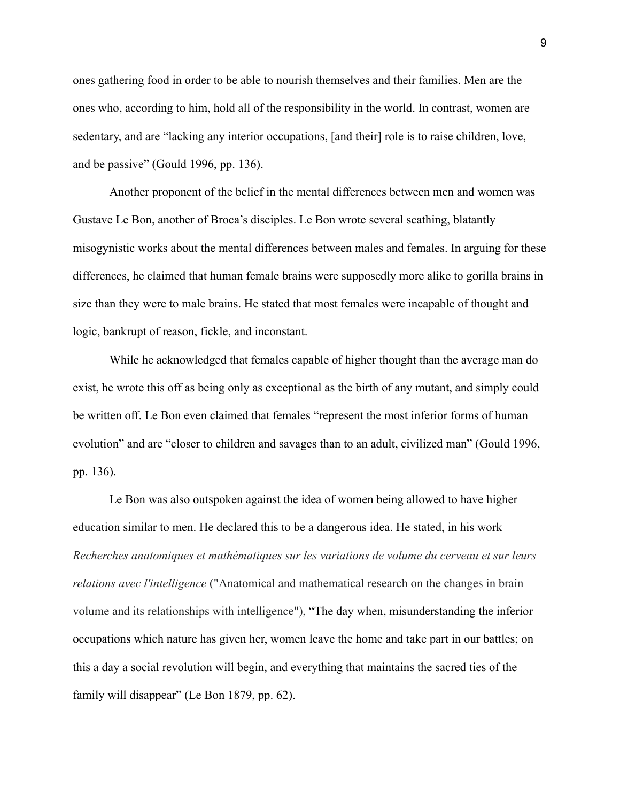ones gathering food in order to be able to nourish themselves and their families. Men are the ones who, according to him, hold all of the responsibility in the world. In contrast, women are sedentary, and are "lacking any interior occupations, [and their] role is to raise children, love, and be passive" (Gould 1996, pp. 136).

Another proponent of the belief in the mental differences between men and women was Gustave Le Bon, another of Broca's disciples. Le Bon wrote several scathing, blatantly misogynistic works about the mental differences between males and females. In arguing for these differences, he claimed that human female brains were supposedly more alike to gorilla brains in size than they were to male brains. He stated that most females were incapable of thought and logic, bankrupt of reason, fickle, and inconstant.

While he acknowledged that females capable of higher thought than the average man do exist, he wrote this off as being only as exceptional as the birth of any mutant, and simply could be written off. Le Bon even claimed that females "represent the most inferior forms of human evolution" and are "closer to children and savages than to an adult, civilized man" (Gould 1996, pp. 136).

Le Bon was also outspoken against the idea of women being allowed to have higher education similar to men. He declared this to be a dangerous idea. He stated, in his work *Recherches anatomiques et mathématiques sur les variations de volume du cerveau et sur leurs relations avec l'intelligence* ("Anatomical and mathematical research on the changes in brain volume and its relationships with intelligence"), "The day when, misunderstanding the inferior occupations which nature has given her, women leave the home and take part in our battles; on this a day a social revolution will begin, and everything that maintains the sacred ties of the family will disappear" (Le Bon 1879, pp. 62).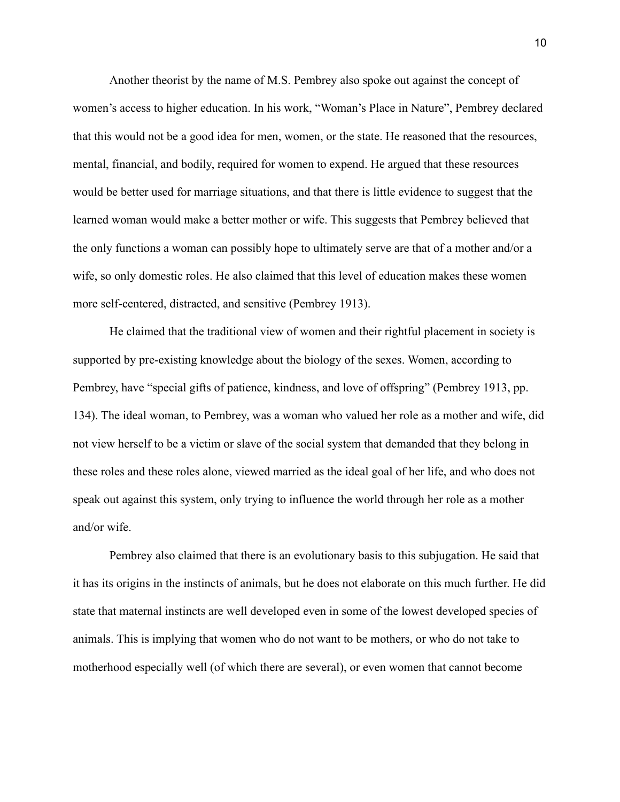Another theorist by the name of M.S. Pembrey also spoke out against the concept of women's access to higher education. In his work, "Woman's Place in Nature", Pembrey declared that this would not be a good idea for men, women, or the state. He reasoned that the resources, mental, financial, and bodily, required for women to expend. He argued that these resources would be better used for marriage situations, and that there is little evidence to suggest that the learned woman would make a better mother or wife. This suggests that Pembrey believed that the only functions a woman can possibly hope to ultimately serve are that of a mother and/or a wife, so only domestic roles. He also claimed that this level of education makes these women more self-centered, distracted, and sensitive (Pembrey 1913).

He claimed that the traditional view of women and their rightful placement in society is supported by pre-existing knowledge about the biology of the sexes. Women, according to Pembrey, have "special gifts of patience, kindness, and love of offspring" (Pembrey 1913, pp. 134). The ideal woman, to Pembrey, was a woman who valued her role as a mother and wife, did not view herself to be a victim or slave of the social system that demanded that they belong in these roles and these roles alone, viewed married as the ideal goal of her life, and who does not speak out against this system, only trying to influence the world through her role as a mother and/or wife.

Pembrey also claimed that there is an evolutionary basis to this subjugation. He said that it has its origins in the instincts of animals, but he does not elaborate on this much further. He did state that maternal instincts are well developed even in some of the lowest developed species of animals. This is implying that women who do not want to be mothers, or who do not take to motherhood especially well (of which there are several), or even women that cannot become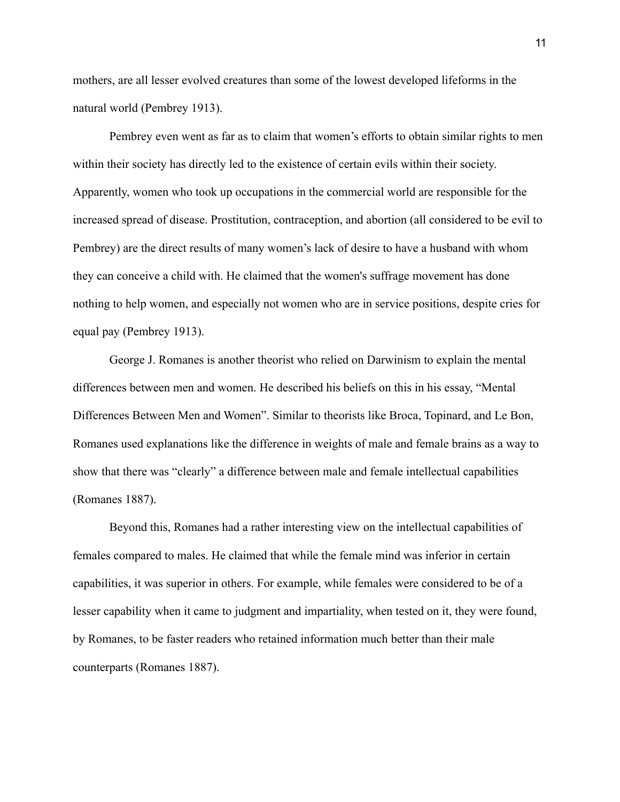mothers, are all lesser evolved creatures than some of the lowest developed lifeforms in the natural world (Pembrey 1913).

Pembrey even went as far as to claim that women's efforts to obtain similar rights to men within their society has directly led to the existence of certain evils within their society. Apparently, women who took up occupations in the commercial world are responsible for the increased spread of disease. Prostitution, contraception, and abortion (all considered to be evil to Pembrey) are the direct results of many women's lack of desire to have a husband with whom they can conceive a child with. He claimed that the women's suffrage movement has done nothing to help women, and especially not women who are in service positions, despite cries for equal pay (Pembrey 1913).

George J. Romanes is another theorist who relied on Darwinism to explain the mental differences between men and women. He described his beliefs on this in his essay, "Mental Differences Between Men and Women". Similar to theorists like Broca, Topinard, and Le Bon, Romanes used explanations like the difference in weights of male and female brains as a way to show that there was "clearly" a difference between male and female intellectual capabilities (Romanes 1887).

Beyond this, Romanes had a rather interesting view on the intellectual capabilities of females compared to males. He claimed that while the female mind was inferior in certain capabilities, it was superior in others. For example, while females were considered to be of a lesser capability when it came to judgment and impartiality, when tested on it, they were found, by Romanes, to be faster readers who retained information much better than their male counterparts (Romanes 1887).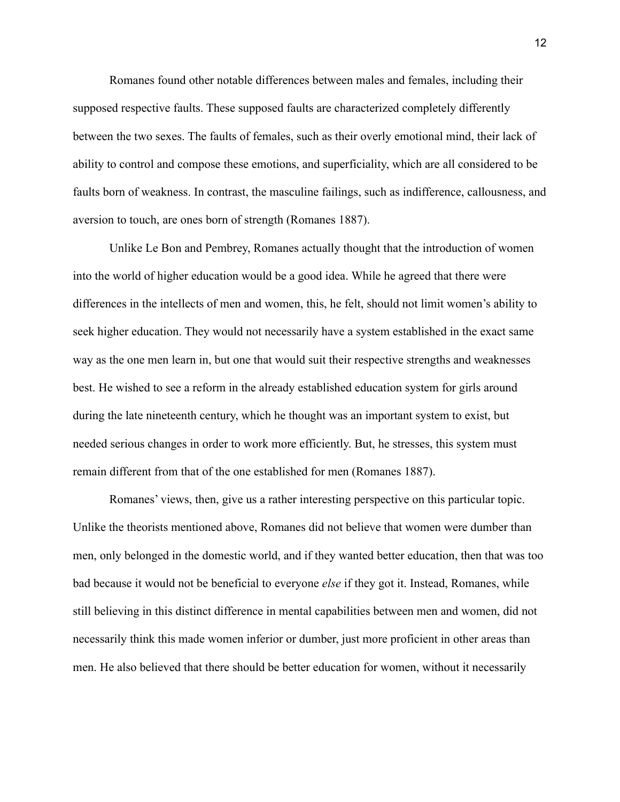Romanes found other notable differences between males and females, including their supposed respective faults. These supposed faults are characterized completely differently between the two sexes. The faults of females, such as their overly emotional mind, their lack of ability to control and compose these emotions, and superficiality, which are all considered to be faults born of weakness. In contrast, the masculine failings, such as indifference, callousness, and aversion to touch, are ones born of strength (Romanes 1887).

Unlike Le Bon and Pembrey, Romanes actually thought that the introduction of women into the world of higher education would be a good idea. While he agreed that there were differences in the intellects of men and women, this, he felt, should not limit women's ability to seek higher education. They would not necessarily have a system established in the exact same way as the one men learn in, but one that would suit their respective strengths and weaknesses best. He wished to see a reform in the already established education system for girls around during the late nineteenth century, which he thought was an important system to exist, but needed serious changes in order to work more efficiently. But, he stresses, this system must remain different from that of the one established for men (Romanes 1887).

Romanes' views, then, give us a rather interesting perspective on this particular topic. Unlike the theorists mentioned above, Romanes did not believe that women were dumber than men, only belonged in the domestic world, and if they wanted better education, then that was too bad because it would not be beneficial to everyone *else* if they got it. Instead, Romanes, while still believing in this distinct difference in mental capabilities between men and women, did not necessarily think this made women inferior or dumber, just more proficient in other areas than men. He also believed that there should be better education for women, without it necessarily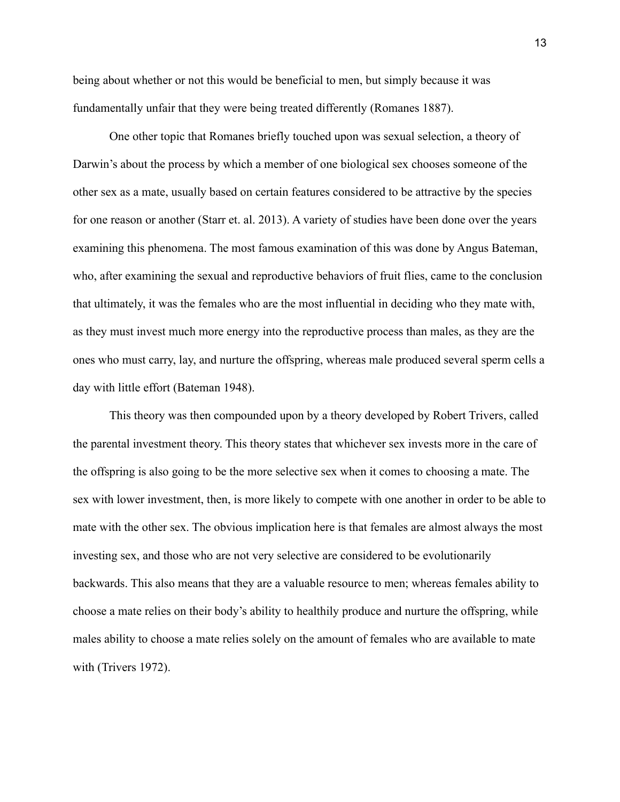being about whether or not this would be beneficial to men, but simply because it was fundamentally unfair that they were being treated differently (Romanes 1887).

One other topic that Romanes briefly touched upon was sexual selection, a theory of Darwin's about the process by which a member of one biological sex chooses someone of the other sex as a mate, usually based on certain features considered to be attractive by the species for one reason or another (Starr et. al. 2013). A variety of studies have been done over the years examining this phenomena. The most famous examination of this was done by Angus Bateman, who, after examining the sexual and reproductive behaviors of fruit flies, came to the conclusion that ultimately, it was the females who are the most influential in deciding who they mate with, as they must invest much more energy into the reproductive process than males, as they are the ones who must carry, lay, and nurture the offspring, whereas male produced several sperm cells a day with little effort (Bateman 1948).

This theory was then compounded upon by a theory developed by Robert Trivers, called the parental investment theory. This theory states that whichever sex invests more in the care of the offspring is also going to be the more selective sex when it comes to choosing a mate. The sex with lower investment, then, is more likely to compete with one another in order to be able to mate with the other sex. The obvious implication here is that females are almost always the most investing sex, and those who are not very selective are considered to be evolutionarily backwards. This also means that they are a valuable resource to men; whereas females ability to choose a mate relies on their body's ability to healthily produce and nurture the offspring, while males ability to choose a mate relies solely on the amount of females who are available to mate with (Trivers 1972).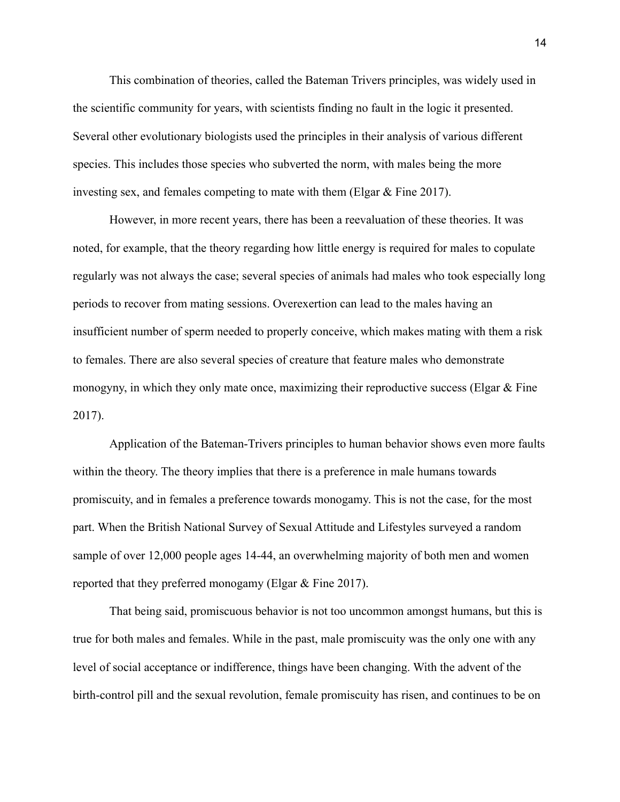This combination of theories, called the Bateman Trivers principles, was widely used in the scientific community for years, with scientists finding no fault in the logic it presented. Several other evolutionary biologists used the principles in their analysis of various different species. This includes those species who subverted the norm, with males being the more investing sex, and females competing to mate with them (Elgar  $\&$  Fine 2017).

However, in more recent years, there has been a reevaluation of these theories. It was noted, for example, that the theory regarding how little energy is required for males to copulate regularly was not always the case; several species of animals had males who took especially long periods to recover from mating sessions. Overexertion can lead to the males having an insufficient number of sperm needed to properly conceive, which makes mating with them a risk to females. There are also several species of creature that feature males who demonstrate monogyny, in which they only mate once, maximizing their reproductive success (Elgar  $\&$  Fine 2017).

Application of the Bateman-Trivers principles to human behavior shows even more faults within the theory. The theory implies that there is a preference in male humans towards promiscuity, and in females a preference towards monogamy. This is not the case, for the most part. When the British National Survey of Sexual Attitude and Lifestyles surveyed a random sample of over 12,000 people ages 14-44, an overwhelming majority of both men and women reported that they preferred monogamy (Elgar & Fine 2017).

That being said, promiscuous behavior is not too uncommon amongst humans, but this is true for both males and females. While in the past, male promiscuity was the only one with any level of social acceptance or indifference, things have been changing. With the advent of the birth-control pill and the sexual revolution, female promiscuity has risen, and continues to be on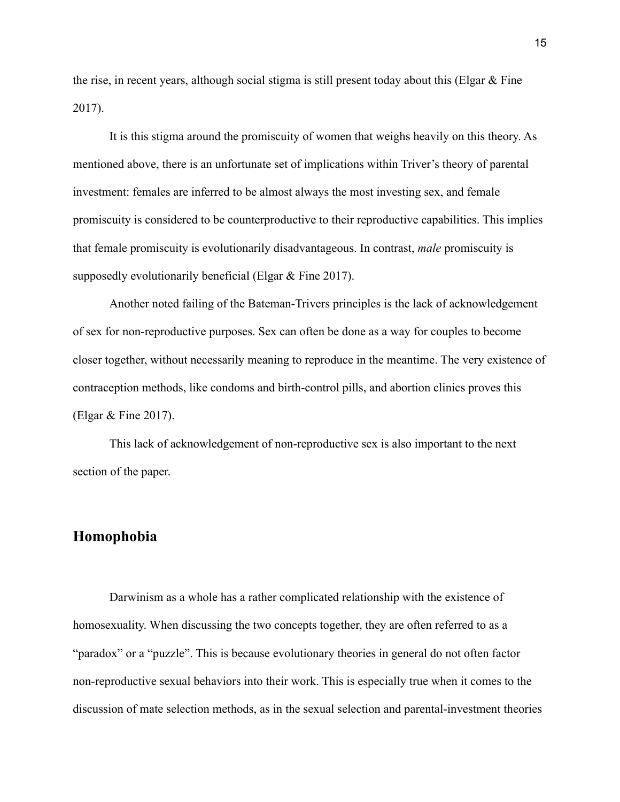the rise, in recent years, although social stigma is still present today about this (Elgar  $\&$  Fine 2017).

It is this stigma around the promiscuity of women that weighs heavily on this theory. As mentioned above, there is an unfortunate set of implications within Triver's theory of parental investment: females are inferred to be almost always the most investing sex, and female promiscuity is considered to be counterproductive to their reproductive capabilities. This implies that female promiscuity is evolutionarily disadvantageous. In contrast, *male* promiscuity is supposedly evolutionarily beneficial (Elgar & Fine 2017).

Another noted failing of the Bateman-Trivers principles is the lack of acknowledgement of sex for non-reproductive purposes. Sex can often be done as a way for couples to become closer together, without necessarily meaning to reproduce in the meantime. The very existence of contraception methods, like condoms and birth-control pills, and abortion clinics proves this (Elgar & Fine 2017).

This lack of acknowledgement of non-reproductive sex is also important to the next section of the paper.

#### **Homophobia**

Darwinism as a whole has a rather complicated relationship with the existence of homosexuality. When discussing the two concepts together, they are often referred to as a "paradox" or a "puzzle". This is because evolutionary theories in general do not often factor non-reproductive sexual behaviors into their work. This is especially true when it comes to the discussion of mate selection methods, as in the sexual selection and parental-investment theories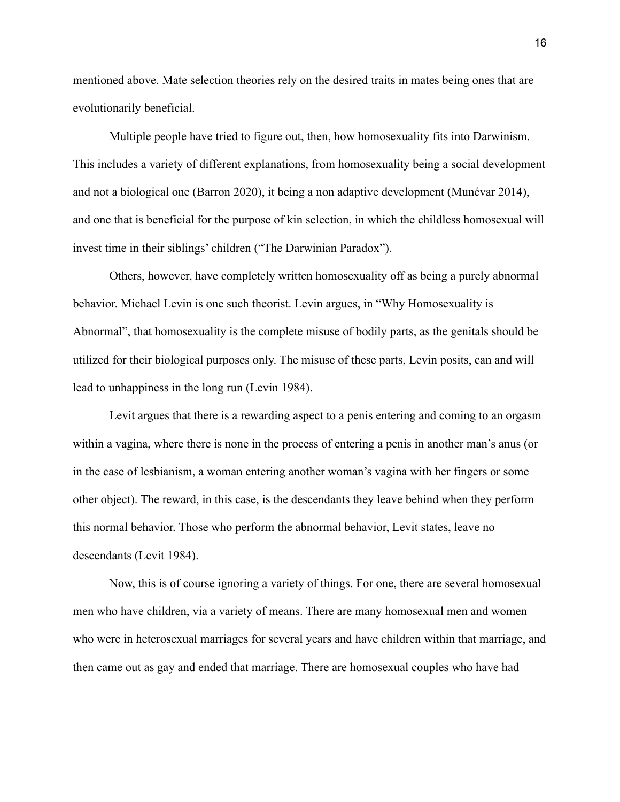mentioned above. Mate selection theories rely on the desired traits in mates being ones that are evolutionarily beneficial.

Multiple people have tried to figure out, then, how homosexuality fits into Darwinism. This includes a variety of different explanations, from homosexuality being a social development and not a biological one (Barron 2020), it being a non adaptive development (Munévar 2014), and one that is beneficial for the purpose of kin selection, in which the childless homosexual will invest time in their siblings' children ("The Darwinian Paradox").

Others, however, have completely written homosexuality off as being a purely abnormal behavior. Michael Levin is one such theorist. Levin argues, in "Why Homosexuality is Abnormal", that homosexuality is the complete misuse of bodily parts, as the genitals should be utilized for their biological purposes only. The misuse of these parts, Levin posits, can and will lead to unhappiness in the long run (Levin 1984).

Levit argues that there is a rewarding aspect to a penis entering and coming to an orgasm within a vagina, where there is none in the process of entering a penis in another man's anus (or in the case of lesbianism, a woman entering another woman's vagina with her fingers or some other object). The reward, in this case, is the descendants they leave behind when they perform this normal behavior. Those who perform the abnormal behavior, Levit states, leave no descendants (Levit 1984).

Now, this is of course ignoring a variety of things. For one, there are several homosexual men who have children, via a variety of means. There are many homosexual men and women who were in heterosexual marriages for several years and have children within that marriage, and then came out as gay and ended that marriage. There are homosexual couples who have had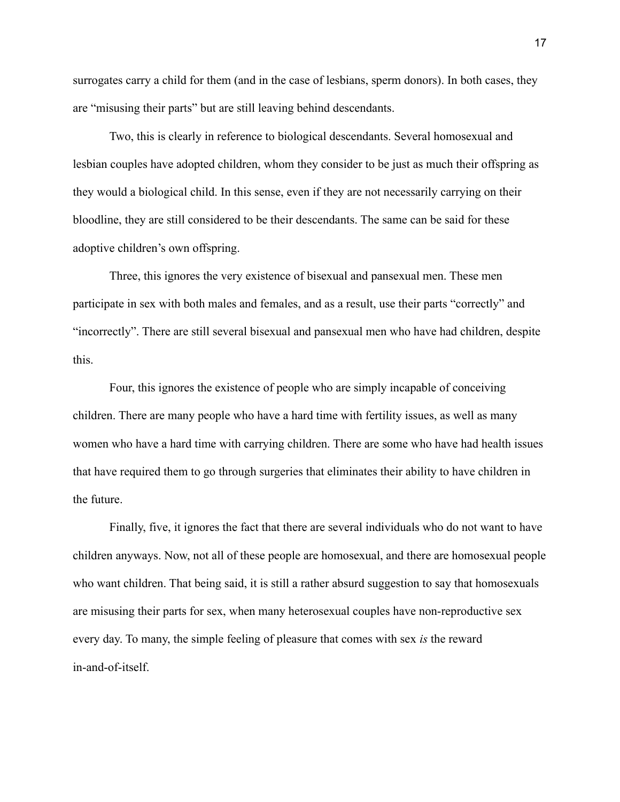surrogates carry a child for them (and in the case of lesbians, sperm donors). In both cases, they are "misusing their parts" but are still leaving behind descendants.

Two, this is clearly in reference to biological descendants. Several homosexual and lesbian couples have adopted children, whom they consider to be just as much their offspring as they would a biological child. In this sense, even if they are not necessarily carrying on their bloodline, they are still considered to be their descendants. The same can be said for these adoptive children's own offspring.

Three, this ignores the very existence of bisexual and pansexual men. These men participate in sex with both males and females, and as a result, use their parts "correctly" and "incorrectly". There are still several bisexual and pansexual men who have had children, despite this.

Four, this ignores the existence of people who are simply incapable of conceiving children. There are many people who have a hard time with fertility issues, as well as many women who have a hard time with carrying children. There are some who have had health issues that have required them to go through surgeries that eliminates their ability to have children in the future.

Finally, five, it ignores the fact that there are several individuals who do not want to have children anyways. Now, not all of these people are homosexual, and there are homosexual people who want children. That being said, it is still a rather absurd suggestion to say that homosexuals are misusing their parts for sex, when many heterosexual couples have non-reproductive sex every day. To many, the simple feeling of pleasure that comes with sex *is* the reward in-and-of-itself.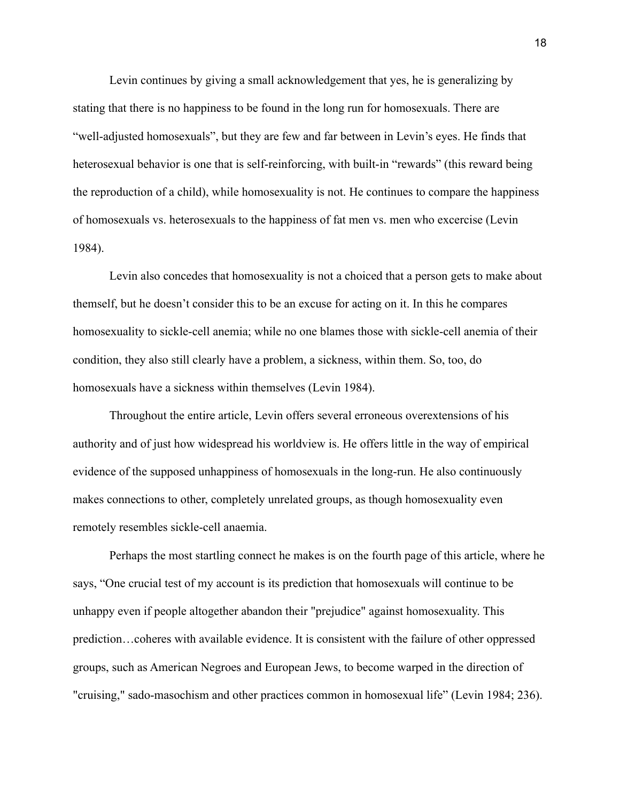Levin continues by giving a small acknowledgement that yes, he is generalizing by stating that there is no happiness to be found in the long run for homosexuals. There are "well-adjusted homosexuals", but they are few and far between in Levin's eyes. He finds that heterosexual behavior is one that is self-reinforcing, with built-in "rewards" (this reward being the reproduction of a child), while homosexuality is not. He continues to compare the happiness of homosexuals vs. heterosexuals to the happiness of fat men vs. men who excercise (Levin 1984).

Levin also concedes that homosexuality is not a choiced that a person gets to make about themself, but he doesn't consider this to be an excuse for acting on it. In this he compares homosexuality to sickle-cell anemia; while no one blames those with sickle-cell anemia of their condition, they also still clearly have a problem, a sickness, within them. So, too, do homosexuals have a sickness within themselves (Levin 1984).

Throughout the entire article, Levin offers several erroneous overextensions of his authority and of just how widespread his worldview is. He offers little in the way of empirical evidence of the supposed unhappiness of homosexuals in the long-run. He also continuously makes connections to other, completely unrelated groups, as though homosexuality even remotely resembles sickle-cell anaemia.

Perhaps the most startling connect he makes is on the fourth page of this article, where he says, "One crucial test of my account is its prediction that homosexuals will continue to be unhappy even if people altogether abandon their "prejudice" against homosexuality. This prediction…coheres with available evidence. It is consistent with the failure of other oppressed groups, such as American Negroes and European Jews, to become warped in the direction of "cruising," sado-masochism and other practices common in homosexual life" (Levin 1984; 236).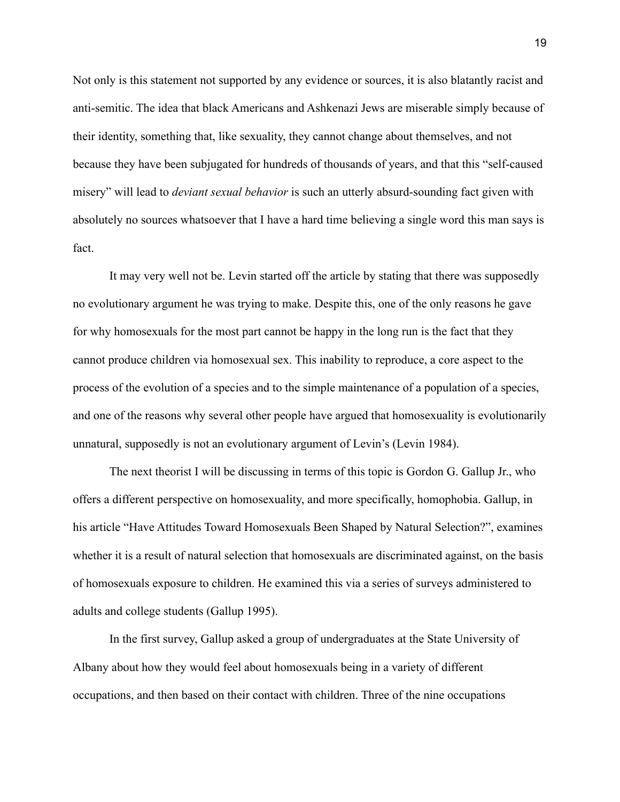Not only is this statement not supported by any evidence or sources, it is also blatantly racist and anti-semitic. The idea that black Americans and Ashkenazi Jews are miserable simply because of their identity, something that, like sexuality, they cannot change about themselves, and not because they have been subjugated for hundreds of thousands of years, and that this "self-caused misery" will lead to *deviant sexual behavior* is such an utterly absurd-sounding fact given with absolutely no sources whatsoever that I have a hard time believing a single word this man says is fact.

It may very well not be. Levin started off the article by stating that there was supposedly no evolutionary argument he was trying to make. Despite this, one of the only reasons he gave for why homosexuals for the most part cannot be happy in the long run is the fact that they cannot produce children via homosexual sex. This inability to reproduce, a core aspect to the process of the evolution of a species and to the simple maintenance of a population of a species, and one of the reasons why several other people have argued that homosexuality is evolutionarily unnatural, supposedly is not an evolutionary argument of Levin's (Levin 1984).

The next theorist I will be discussing in terms of this topic is Gordon G. Gallup Jr., who offers a different perspective on homosexuality, and more specifically, homophobia. Gallup, in his article "Have Attitudes Toward Homosexuals Been Shaped by Natural Selection?", examines whether it is a result of natural selection that homosexuals are discriminated against, on the basis of homosexuals exposure to children. He examined this via a series of surveys administered to adults and college students (Gallup 1995).

In the first survey, Gallup asked a group of undergraduates at the State University of Albany about how they would feel about homosexuals being in a variety of different occupations, and then based on their contact with children. Three of the nine occupations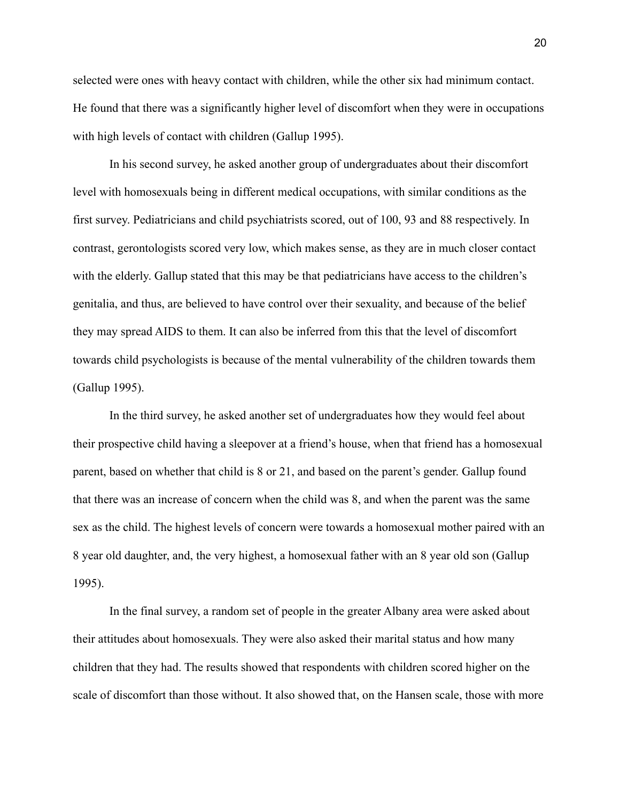selected were ones with heavy contact with children, while the other six had minimum contact. He found that there was a significantly higher level of discomfort when they were in occupations with high levels of contact with children (Gallup 1995).

In his second survey, he asked another group of undergraduates about their discomfort level with homosexuals being in different medical occupations, with similar conditions as the first survey. Pediatricians and child psychiatrists scored, out of 100, 93 and 88 respectively. In contrast, gerontologists scored very low, which makes sense, as they are in much closer contact with the elderly. Gallup stated that this may be that pediatricians have access to the children's genitalia, and thus, are believed to have control over their sexuality, and because of the belief they may spread AIDS to them. It can also be inferred from this that the level of discomfort towards child psychologists is because of the mental vulnerability of the children towards them (Gallup 1995).

In the third survey, he asked another set of undergraduates how they would feel about their prospective child having a sleepover at a friend's house, when that friend has a homosexual parent, based on whether that child is 8 or 21, and based on the parent's gender. Gallup found that there was an increase of concern when the child was 8, and when the parent was the same sex as the child. The highest levels of concern were towards a homosexual mother paired with an 8 year old daughter, and, the very highest, a homosexual father with an 8 year old son (Gallup 1995).

In the final survey, a random set of people in the greater Albany area were asked about their attitudes about homosexuals. They were also asked their marital status and how many children that they had. The results showed that respondents with children scored higher on the scale of discomfort than those without. It also showed that, on the Hansen scale, those with more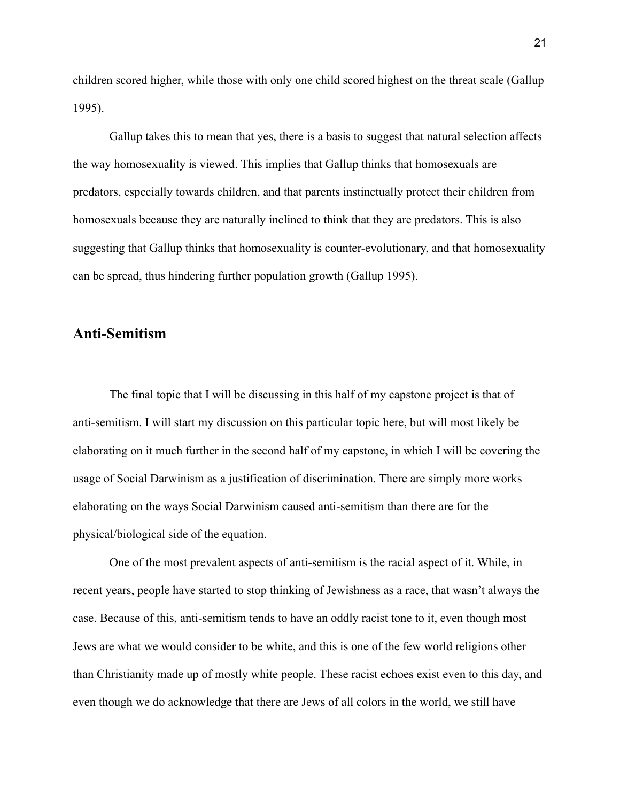children scored higher, while those with only one child scored highest on the threat scale (Gallup 1995).

Gallup takes this to mean that yes, there is a basis to suggest that natural selection affects the way homosexuality is viewed. This implies that Gallup thinks that homosexuals are predators, especially towards children, and that parents instinctually protect their children from homosexuals because they are naturally inclined to think that they are predators. This is also suggesting that Gallup thinks that homosexuality is counter-evolutionary, and that homosexuality can be spread, thus hindering further population growth (Gallup 1995).

#### **Anti-Semitism**

The final topic that I will be discussing in this half of my capstone project is that of anti-semitism. I will start my discussion on this particular topic here, but will most likely be elaborating on it much further in the second half of my capstone, in which I will be covering the usage of Social Darwinism as a justification of discrimination. There are simply more works elaborating on the ways Social Darwinism caused anti-semitism than there are for the physical/biological side of the equation.

One of the most prevalent aspects of anti-semitism is the racial aspect of it. While, in recent years, people have started to stop thinking of Jewishness as a race, that wasn't always the case. Because of this, anti-semitism tends to have an oddly racist tone to it, even though most Jews are what we would consider to be white, and this is one of the few world religions other than Christianity made up of mostly white people. These racist echoes exist even to this day, and even though we do acknowledge that there are Jews of all colors in the world, we still have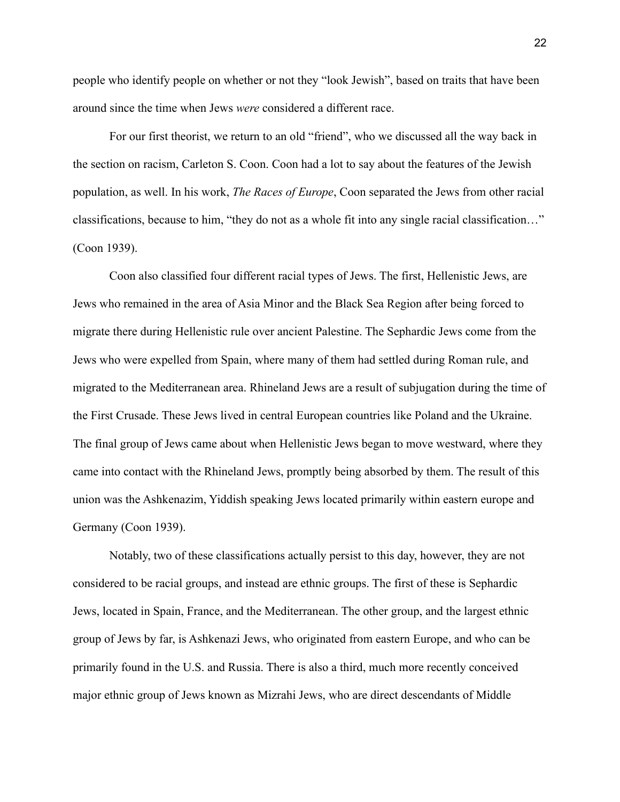people who identify people on whether or not they "look Jewish", based on traits that have been around since the time when Jews *were* considered a different race.

For our first theorist, we return to an old "friend", who we discussed all the way back in the section on racism, Carleton S. Coon. Coon had a lot to say about the features of the Jewish population, as well. In his work, *The Races of Europe*, Coon separated the Jews from other racial classifications, because to him, "they do not as a whole fit into any single racial classification…" (Coon 1939).

Coon also classified four different racial types of Jews. The first, Hellenistic Jews, are Jews who remained in the area of Asia Minor and the Black Sea Region after being forced to migrate there during Hellenistic rule over ancient Palestine. The Sephardic Jews come from the Jews who were expelled from Spain, where many of them had settled during Roman rule, and migrated to the Mediterranean area. Rhineland Jews are a result of subjugation during the time of the First Crusade. These Jews lived in central European countries like Poland and the Ukraine. The final group of Jews came about when Hellenistic Jews began to move westward, where they came into contact with the Rhineland Jews, promptly being absorbed by them. The result of this union was the Ashkenazim, Yiddish speaking Jews located primarily within eastern europe and Germany (Coon 1939).

Notably, two of these classifications actually persist to this day, however, they are not considered to be racial groups, and instead are ethnic groups. The first of these is Sephardic Jews, located in Spain, France, and the Mediterranean. The other group, and the largest ethnic group of Jews by far, is Ashkenazi Jews, who originated from eastern Europe, and who can be primarily found in the U.S. and Russia. There is also a third, much more recently conceived major ethnic group of Jews known as Mizrahi Jews, who are direct descendants of Middle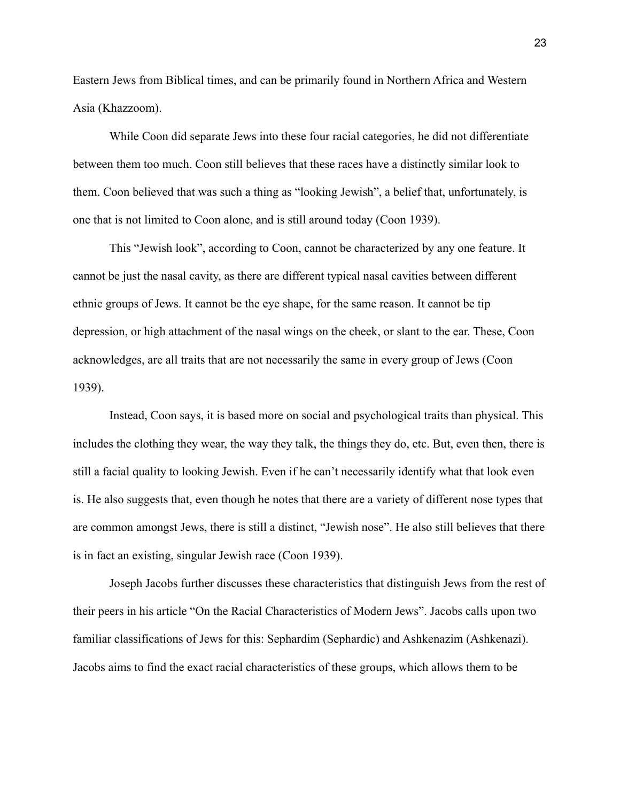Eastern Jews from Biblical times, and can be primarily found in Northern Africa and Western Asia (Khazzoom).

While Coon did separate Jews into these four racial categories, he did not differentiate between them too much. Coon still believes that these races have a distinctly similar look to them. Coon believed that was such a thing as "looking Jewish", a belief that, unfortunately, is one that is not limited to Coon alone, and is still around today (Coon 1939).

This "Jewish look", according to Coon, cannot be characterized by any one feature. It cannot be just the nasal cavity, as there are different typical nasal cavities between different ethnic groups of Jews. It cannot be the eye shape, for the same reason. It cannot be tip depression, or high attachment of the nasal wings on the cheek, or slant to the ear. These, Coon acknowledges, are all traits that are not necessarily the same in every group of Jews (Coon 1939).

Instead, Coon says, it is based more on social and psychological traits than physical. This includes the clothing they wear, the way they talk, the things they do, etc. But, even then, there is still a facial quality to looking Jewish. Even if he can't necessarily identify what that look even is. He also suggests that, even though he notes that there are a variety of different nose types that are common amongst Jews, there is still a distinct, "Jewish nose". He also still believes that there is in fact an existing, singular Jewish race (Coon 1939).

Joseph Jacobs further discusses these characteristics that distinguish Jews from the rest of their peers in his article "On the Racial Characteristics of Modern Jews". Jacobs calls upon two familiar classifications of Jews for this: Sephardim (Sephardic) and Ashkenazim (Ashkenazi). Jacobs aims to find the exact racial characteristics of these groups, which allows them to be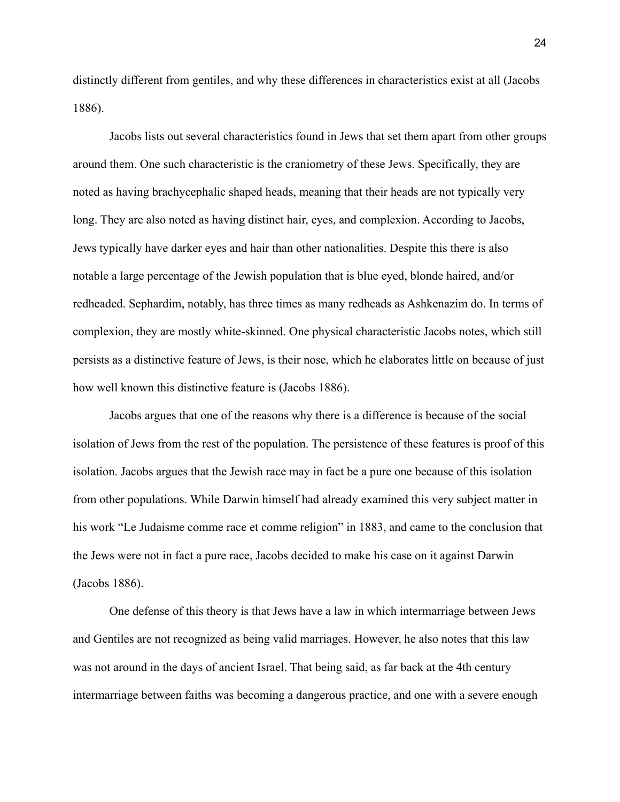distinctly different from gentiles, and why these differences in characteristics exist at all (Jacobs 1886).

Jacobs lists out several characteristics found in Jews that set them apart from other groups around them. One such characteristic is the craniometry of these Jews. Specifically, they are noted as having brachycephalic shaped heads, meaning that their heads are not typically very long. They are also noted as having distinct hair, eyes, and complexion. According to Jacobs, Jews typically have darker eyes and hair than other nationalities. Despite this there is also notable a large percentage of the Jewish population that is blue eyed, blonde haired, and/or redheaded. Sephardim, notably, has three times as many redheads as Ashkenazim do. In terms of complexion, they are mostly white-skinned. One physical characteristic Jacobs notes, which still persists as a distinctive feature of Jews, is their nose, which he elaborates little on because of just how well known this distinctive feature is (Jacobs 1886).

Jacobs argues that one of the reasons why there is a difference is because of the social isolation of Jews from the rest of the population. The persistence of these features is proof of this isolation. Jacobs argues that the Jewish race may in fact be a pure one because of this isolation from other populations. While Darwin himself had already examined this very subject matter in his work "Le Judaisme comme race et comme religion" in 1883, and came to the conclusion that the Jews were not in fact a pure race, Jacobs decided to make his case on it against Darwin (Jacobs 1886).

One defense of this theory is that Jews have a law in which intermarriage between Jews and Gentiles are not recognized as being valid marriages. However, he also notes that this law was not around in the days of ancient Israel. That being said, as far back at the 4th century intermarriage between faiths was becoming a dangerous practice, and one with a severe enough

24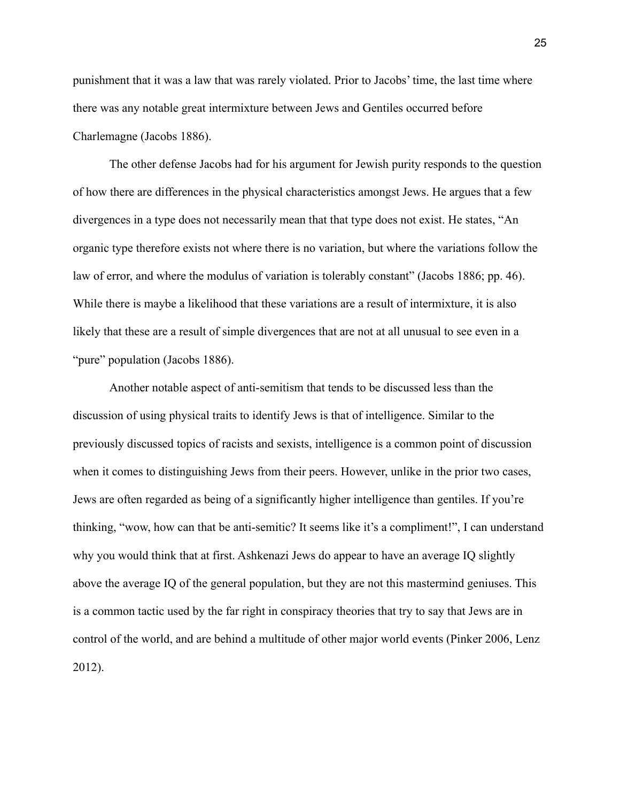punishment that it was a law that was rarely violated. Prior to Jacobs' time, the last time where there was any notable great intermixture between Jews and Gentiles occurred before Charlemagne (Jacobs 1886).

The other defense Jacobs had for his argument for Jewish purity responds to the question of how there are differences in the physical characteristics amongst Jews. He argues that a few divergences in a type does not necessarily mean that that type does not exist. He states, "An organic type therefore exists not where there is no variation, but where the variations follow the law of error, and where the modulus of variation is tolerably constant" (Jacobs 1886; pp. 46). While there is maybe a likelihood that these variations are a result of intermixture, it is also likely that these are a result of simple divergences that are not at all unusual to see even in a "pure" population (Jacobs 1886).

Another notable aspect of anti-semitism that tends to be discussed less than the discussion of using physical traits to identify Jews is that of intelligence. Similar to the previously discussed topics of racists and sexists, intelligence is a common point of discussion when it comes to distinguishing Jews from their peers. However, unlike in the prior two cases, Jews are often regarded as being of a significantly higher intelligence than gentiles. If you're thinking, "wow, how can that be anti-semitic? It seems like it's a compliment!", I can understand why you would think that at first. Ashkenazi Jews do appear to have an average IQ slightly above the average IQ of the general population, but they are not this mastermind geniuses. This is a common tactic used by the far right in conspiracy theories that try to say that Jews are in control of the world, and are behind a multitude of other major world events (Pinker 2006, Lenz 2012).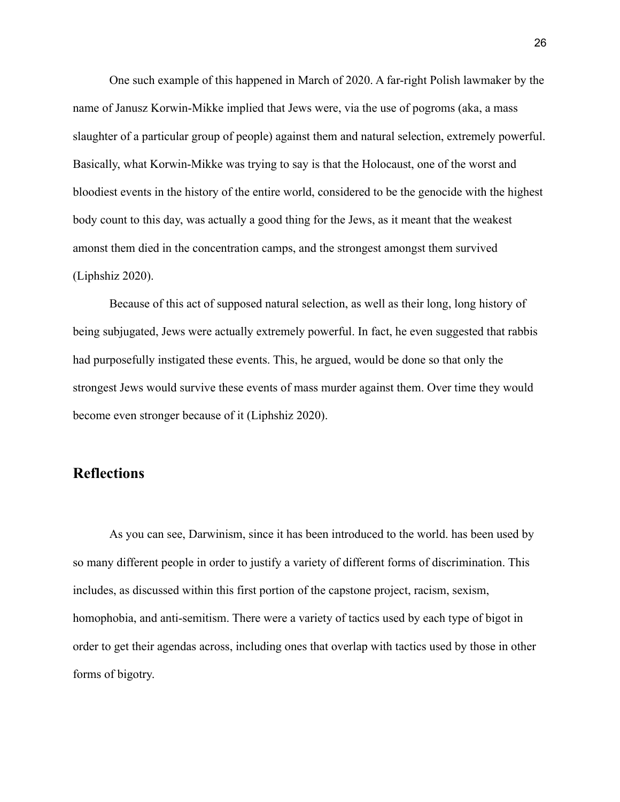One such example of this happened in March of 2020. A far-right Polish lawmaker by the name of Janusz Korwin-Mikke implied that Jews were, via the use of pogroms (aka, a mass slaughter of a particular group of people) against them and natural selection, extremely powerful. Basically, what Korwin-Mikke was trying to say is that the Holocaust, one of the worst and bloodiest events in the history of the entire world, considered to be the genocide with the highest body count to this day, was actually a good thing for the Jews, as it meant that the weakest amonst them died in the concentration camps, and the strongest amongst them survived (Liphshiz 2020).

Because of this act of supposed natural selection, as well as their long, long history of being subjugated, Jews were actually extremely powerful. In fact, he even suggested that rabbis had purposefully instigated these events. This, he argued, would be done so that only the strongest Jews would survive these events of mass murder against them. Over time they would become even stronger because of it (Liphshiz 2020).

#### **Reflections**

As you can see, Darwinism, since it has been introduced to the world. has been used by so many different people in order to justify a variety of different forms of discrimination. This includes, as discussed within this first portion of the capstone project, racism, sexism, homophobia, and anti-semitism. There were a variety of tactics used by each type of bigot in order to get their agendas across, including ones that overlap with tactics used by those in other forms of bigotry.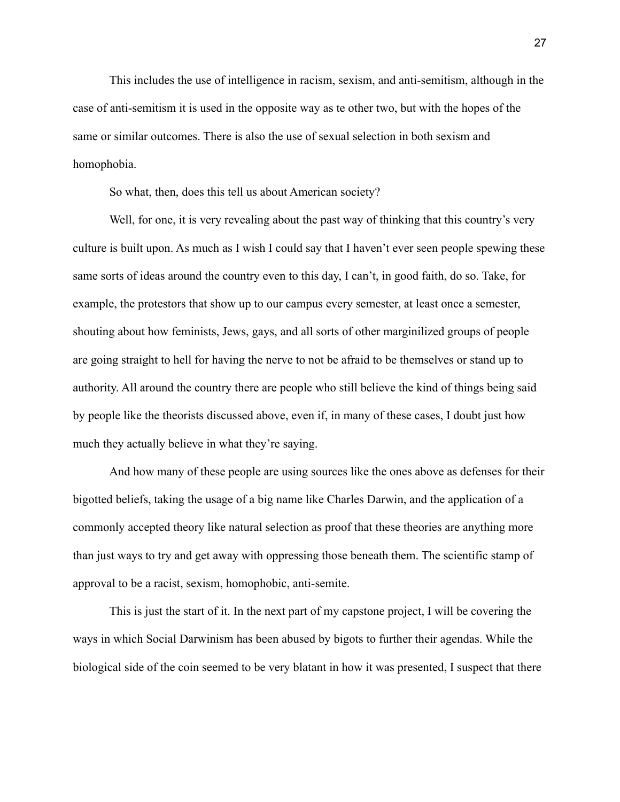This includes the use of intelligence in racism, sexism, and anti-semitism, although in the case of anti-semitism it is used in the opposite way as te other two, but with the hopes of the same or similar outcomes. There is also the use of sexual selection in both sexism and homophobia.

So what, then, does this tell us about American society?

Well, for one, it is very revealing about the past way of thinking that this country's very culture is built upon. As much as I wish I could say that I haven't ever seen people spewing these same sorts of ideas around the country even to this day, I can't, in good faith, do so. Take, for example, the protestors that show up to our campus every semester, at least once a semester, shouting about how feminists, Jews, gays, and all sorts of other marginilized groups of people are going straight to hell for having the nerve to not be afraid to be themselves or stand up to authority. All around the country there are people who still believe the kind of things being said by people like the theorists discussed above, even if, in many of these cases, I doubt just how much they actually believe in what they're saying.

And how many of these people are using sources like the ones above as defenses for their bigotted beliefs, taking the usage of a big name like Charles Darwin, and the application of a commonly accepted theory like natural selection as proof that these theories are anything more than just ways to try and get away with oppressing those beneath them. The scientific stamp of approval to be a racist, sexism, homophobic, anti-semite.

This is just the start of it. In the next part of my capstone project, I will be covering the ways in which Social Darwinism has been abused by bigots to further their agendas. While the biological side of the coin seemed to be very blatant in how it was presented, I suspect that there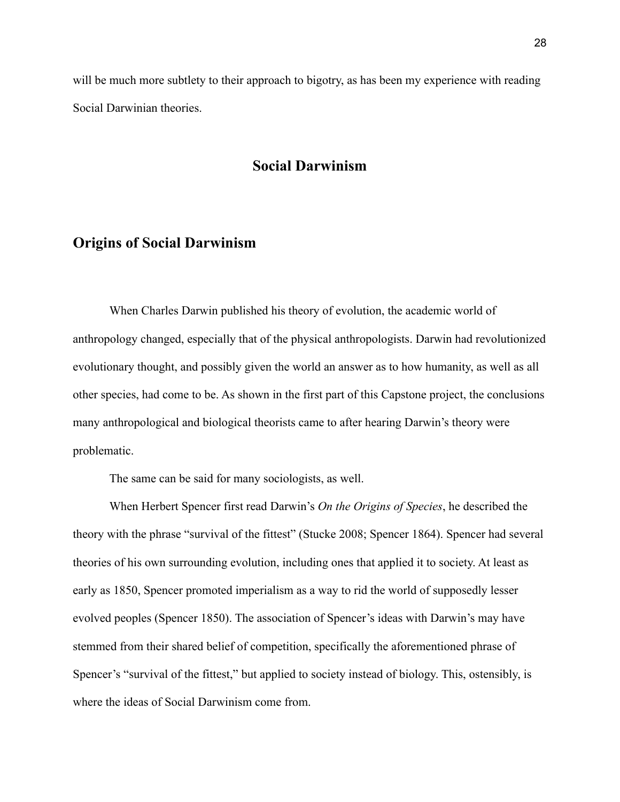will be much more subtlety to their approach to bigotry, as has been my experience with reading Social Darwinian theories.

#### **Social Darwinism**

#### **Origins of Social Darwinism**

When Charles Darwin published his theory of evolution, the academic world of anthropology changed, especially that of the physical anthropologists. Darwin had revolutionized evolutionary thought, and possibly given the world an answer as to how humanity, as well as all other species, had come to be. As shown in the first part of this Capstone project, the conclusions many anthropological and biological theorists came to after hearing Darwin's theory were problematic.

The same can be said for many sociologists, as well.

When Herbert Spencer first read Darwin's *On the Origins of Species*, he described the theory with the phrase "survival of the fittest" (Stucke 2008; Spencer 1864). Spencer had several theories of his own surrounding evolution, including ones that applied it to society. At least as early as 1850, Spencer promoted imperialism as a way to rid the world of supposedly lesser evolved peoples (Spencer 1850). The association of Spencer's ideas with Darwin's may have stemmed from their shared belief of competition, specifically the aforementioned phrase of Spencer's "survival of the fittest," but applied to society instead of biology. This, ostensibly, is where the ideas of Social Darwinism come from.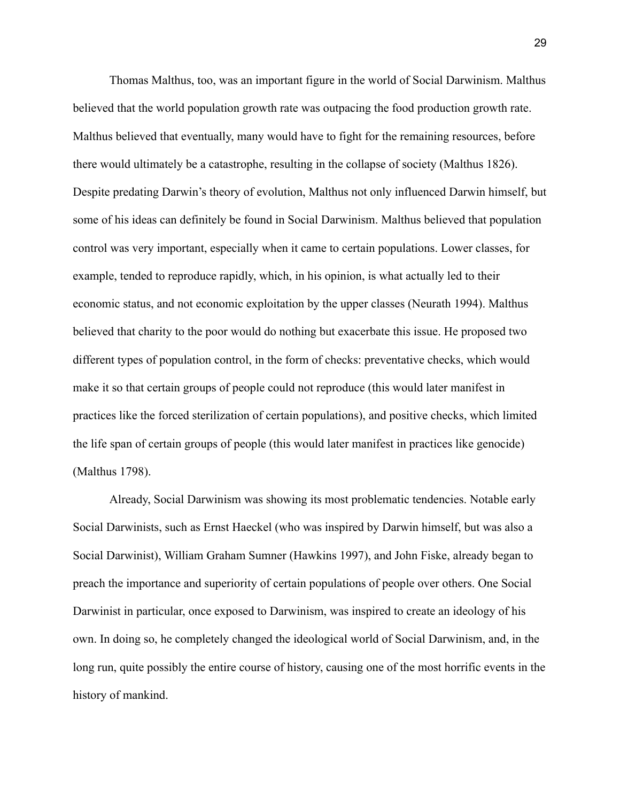Thomas Malthus, too, was an important figure in the world of Social Darwinism. Malthus believed that the world population growth rate was outpacing the food production growth rate. Malthus believed that eventually, many would have to fight for the remaining resources, before there would ultimately be a catastrophe, resulting in the collapse of society (Malthus 1826). Despite predating Darwin's theory of evolution, Malthus not only influenced Darwin himself, but some of his ideas can definitely be found in Social Darwinism. Malthus believed that population control was very important, especially when it came to certain populations. Lower classes, for example, tended to reproduce rapidly, which, in his opinion, is what actually led to their economic status, and not economic exploitation by the upper classes (Neurath 1994). Malthus believed that charity to the poor would do nothing but exacerbate this issue. He proposed two different types of population control, in the form of checks: preventative checks, which would make it so that certain groups of people could not reproduce (this would later manifest in practices like the forced sterilization of certain populations), and positive checks, which limited the life span of certain groups of people (this would later manifest in practices like genocide) (Malthus 1798).

Already, Social Darwinism was showing its most problematic tendencies. Notable early Social Darwinists, such as Ernst Haeckel (who was inspired by Darwin himself, but was also a Social Darwinist), William Graham Sumner (Hawkins 1997), and John Fiske, already began to preach the importance and superiority of certain populations of people over others. One Social Darwinist in particular, once exposed to Darwinism, was inspired to create an ideology of his own. In doing so, he completely changed the ideological world of Social Darwinism, and, in the long run, quite possibly the entire course of history, causing one of the most horrific events in the history of mankind.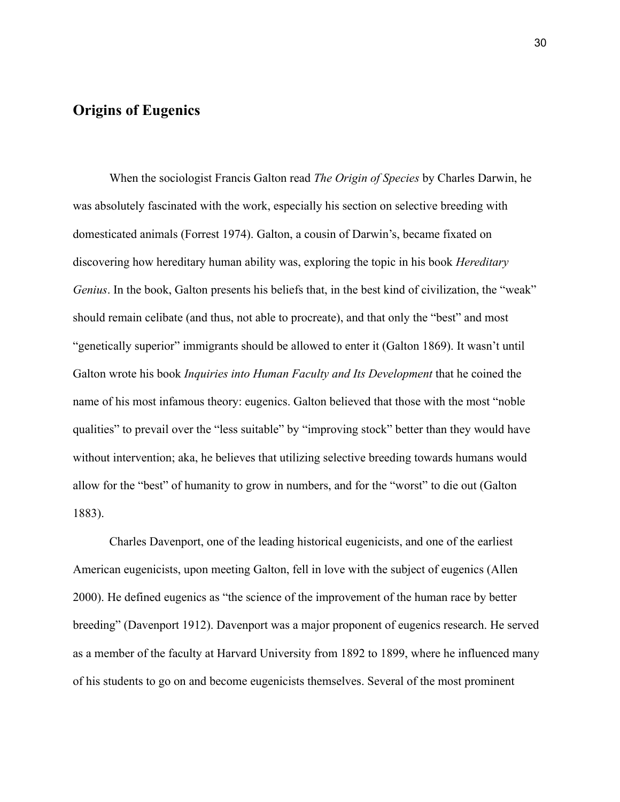### **Origins of Eugenics**

When the sociologist Francis Galton read *The Origin of Species* by Charles Darwin, he was absolutely fascinated with the work, especially his section on selective breeding with domesticated animals (Forrest 1974). Galton, a cousin of Darwin's, became fixated on discovering how hereditary human ability was, exploring the topic in his book *Hereditary Genius*. In the book, Galton presents his beliefs that, in the best kind of civilization, the "weak" should remain celibate (and thus, not able to procreate), and that only the "best" and most "genetically superior" immigrants should be allowed to enter it (Galton 1869). It wasn't until Galton wrote his book *Inquiries into Human Faculty and Its Development* that he coined the name of his most infamous theory: eugenics. Galton believed that those with the most "noble qualities" to prevail over the "less suitable" by "improving stock" better than they would have without intervention; aka, he believes that utilizing selective breeding towards humans would allow for the "best" of humanity to grow in numbers, and for the "worst" to die out (Galton 1883).

Charles Davenport, one of the leading historical eugenicists, and one of the earliest American eugenicists, upon meeting Galton, fell in love with the subject of eugenics (Allen 2000). He defined eugenics as "the science of the improvement of the human race by better breeding" (Davenport 1912). Davenport was a major proponent of eugenics research. He served as a member of the faculty at Harvard University from 1892 to 1899, where he influenced many of his students to go on and become eugenicists themselves. Several of the most prominent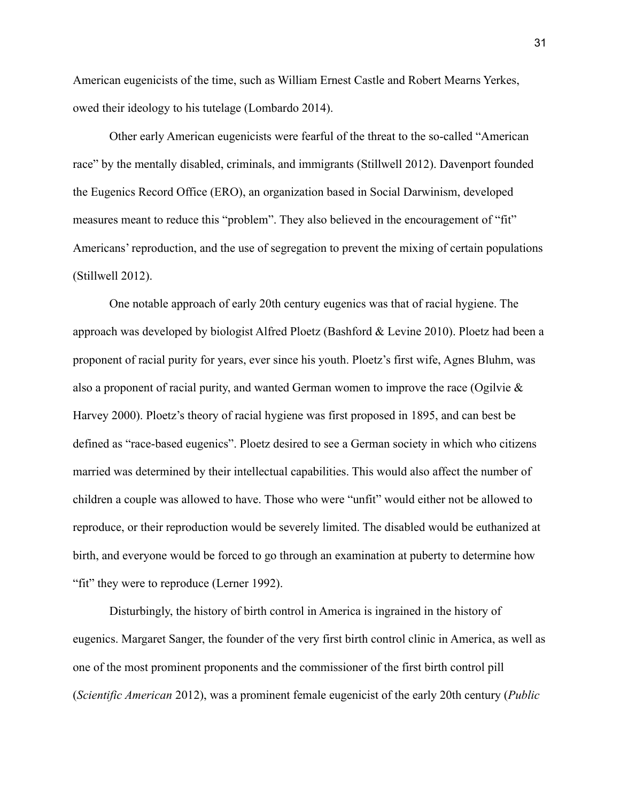American eugenicists of the time, such as William Ernest Castle and Robert Mearns Yerkes, owed their ideology to his tutelage (Lombardo 2014).

Other early American eugenicists were fearful of the threat to the so-called "American race" by the mentally disabled, criminals, and immigrants (Stillwell 2012). Davenport founded the Eugenics Record Office (ERO), an organization based in Social Darwinism, developed measures meant to reduce this "problem". They also believed in the encouragement of "fit" Americans' reproduction, and the use of segregation to prevent the mixing of certain populations (Stillwell 2012).

One notable approach of early 20th century eugenics was that of racial hygiene. The approach was developed by biologist Alfred Ploetz (Bashford & Levine 2010). Ploetz had been a proponent of racial purity for years, ever since his youth. Ploetz's first wife, Agnes Bluhm, was also a proponent of racial purity, and wanted German women to improve the race (Ogilvie & Harvey 2000). Ploetz's theory of racial hygiene was first proposed in 1895, and can best be defined as "race-based eugenics". Ploetz desired to see a German society in which who citizens married was determined by their intellectual capabilities. This would also affect the number of children a couple was allowed to have. Those who were "unfit" would either not be allowed to reproduce, or their reproduction would be severely limited. The disabled would be euthanized at birth, and everyone would be forced to go through an examination at puberty to determine how "fit" they were to reproduce (Lerner 1992).

Disturbingly, the history of birth control in America is ingrained in the history of eugenics. Margaret Sanger, the founder of the very first birth control clinic in America, as well as one of the most prominent proponents and the commissioner of the first birth control pill (*Scientific American* 2012), was a prominent female eugenicist of the early 20th century (*Public*

31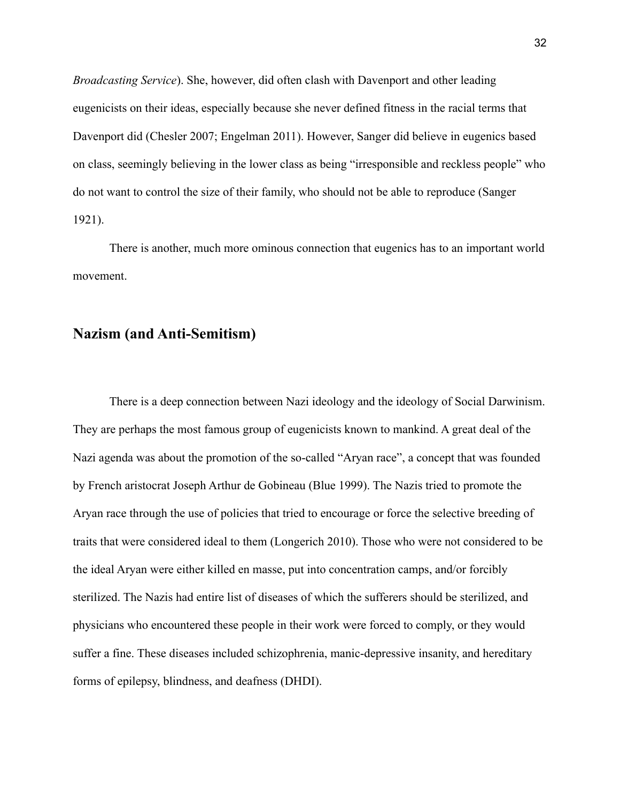*Broadcasting Service*). She, however, did often clash with Davenport and other leading eugenicists on their ideas, especially because she never defined fitness in the racial terms that Davenport did (Chesler 2007; Engelman 2011). However, Sanger did believe in eugenics based on class, seemingly believing in the lower class as being "irresponsible and reckless people" who do not want to control the size of their family, who should not be able to reproduce (Sanger 1921).

There is another, much more ominous connection that eugenics has to an important world movement.

#### **Nazism (and Anti-Semitism)**

There is a deep connection between Nazi ideology and the ideology of Social Darwinism. They are perhaps the most famous group of eugenicists known to mankind. A great deal of the Nazi agenda was about the promotion of the so-called "Aryan race", a concept that was founded by French aristocrat Joseph Arthur de Gobineau (Blue 1999). The Nazis tried to promote the Aryan race through the use of policies that tried to encourage or force the selective breeding of traits that were considered ideal to them (Longerich 2010). Those who were not considered to be the ideal Aryan were either killed en masse, put into concentration camps, and/or forcibly sterilized. The Nazis had entire list of diseases of which the sufferers should be sterilized, and physicians who encountered these people in their work were forced to comply, or they would suffer a fine. These diseases included schizophrenia, manic-depressive insanity, and hereditary forms of epilepsy, blindness, and deafness (DHDI).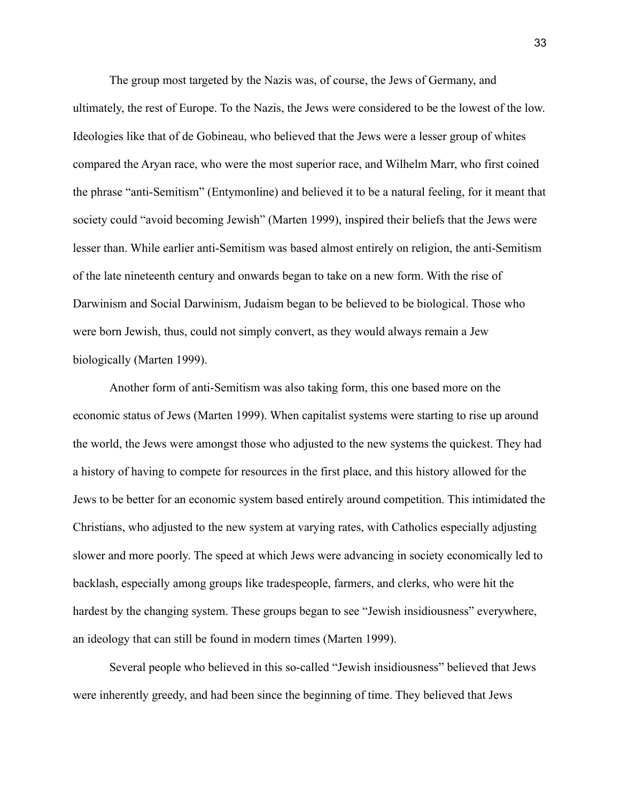The group most targeted by the Nazis was, of course, the Jews of Germany, and ultimately, the rest of Europe. To the Nazis, the Jews were considered to be the lowest of the low. Ideologies like that of de Gobineau, who believed that the Jews were a lesser group of whites compared the Aryan race, who were the most superior race, and Wilhelm Marr, who first coined the phrase "anti-Semitism" (Entymonline) and believed it to be a natural feeling, for it meant that society could "avoid becoming Jewish" (Marten 1999), inspired their beliefs that the Jews were lesser than. While earlier anti-Semitism was based almost entirely on religion, the anti-Semitism of the late nineteenth century and onwards began to take on a new form. With the rise of Darwinism and Social Darwinism, Judaism began to be believed to be biological. Those who were born Jewish, thus, could not simply convert, as they would always remain a Jew biologically (Marten 1999).

Another form of anti-Semitism was also taking form, this one based more on the economic status of Jews (Marten 1999). When capitalist systems were starting to rise up around the world, the Jews were amongst those who adjusted to the new systems the quickest. They had a history of having to compete for resources in the first place, and this history allowed for the Jews to be better for an economic system based entirely around competition. This intimidated the Christians, who adjusted to the new system at varying rates, with Catholics especially adjusting slower and more poorly. The speed at which Jews were advancing in society economically led to backlash, especially among groups like tradespeople, farmers, and clerks, who were hit the hardest by the changing system. These groups began to see "Jewish insidiousness" everywhere, an ideology that can still be found in modern times (Marten 1999).

Several people who believed in this so-called "Jewish insidiousness" believed that Jews were inherently greedy, and had been since the beginning of time. They believed that Jews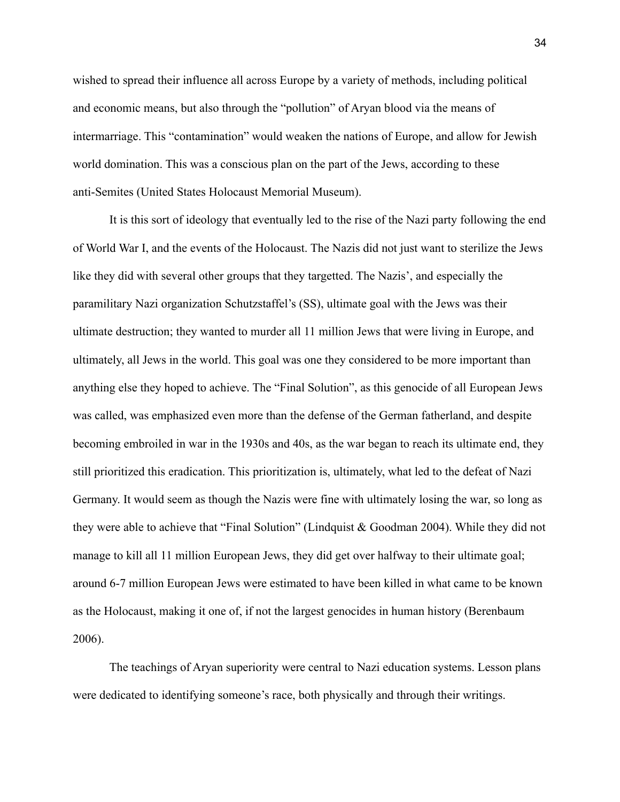wished to spread their influence all across Europe by a variety of methods, including political and economic means, but also through the "pollution" of Aryan blood via the means of intermarriage. This "contamination" would weaken the nations of Europe, and allow for Jewish world domination. This was a conscious plan on the part of the Jews, according to these anti-Semites (United States Holocaust Memorial Museum).

It is this sort of ideology that eventually led to the rise of the Nazi party following the end of World War I, and the events of the Holocaust. The Nazis did not just want to sterilize the Jews like they did with several other groups that they targetted. The Nazis', and especially the paramilitary Nazi organization Schutzstaffel's (SS), ultimate goal with the Jews was their ultimate destruction; they wanted to murder all 11 million Jews that were living in Europe, and ultimately, all Jews in the world. This goal was one they considered to be more important than anything else they hoped to achieve. The "Final Solution", as this genocide of all European Jews was called, was emphasized even more than the defense of the German fatherland, and despite becoming embroiled in war in the 1930s and 40s, as the war began to reach its ultimate end, they still prioritized this eradication. This prioritization is, ultimately, what led to the defeat of Nazi Germany. It would seem as though the Nazis were fine with ultimately losing the war, so long as they were able to achieve that "Final Solution" (Lindquist & Goodman 2004). While they did not manage to kill all 11 million European Jews, they did get over halfway to their ultimate goal; around 6-7 million European Jews were estimated to have been killed in what came to be known as the Holocaust, making it one of, if not the largest genocides in human history (Berenbaum 2006).

The teachings of Aryan superiority were central to Nazi education systems. Lesson plans were dedicated to identifying someone's race, both physically and through their writings.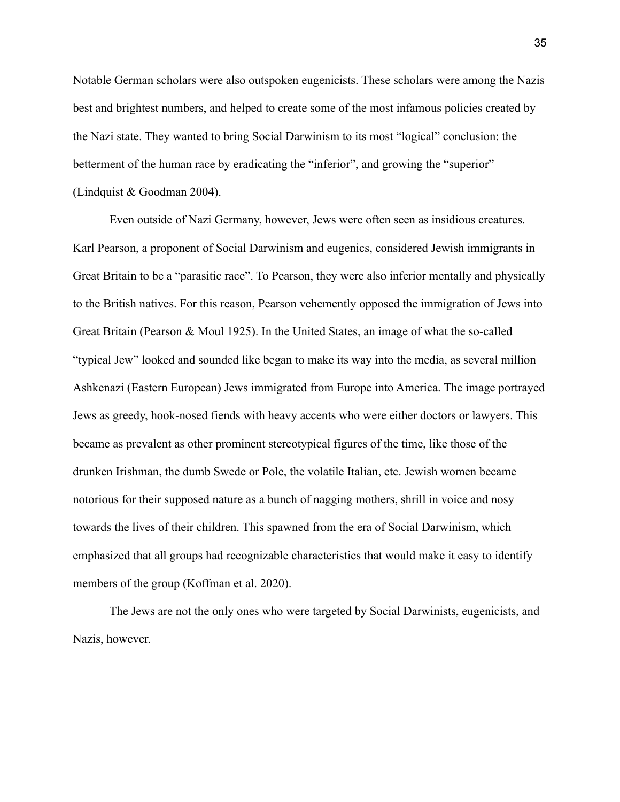Notable German scholars were also outspoken eugenicists. These scholars were among the Nazis best and brightest numbers, and helped to create some of the most infamous policies created by the Nazi state. They wanted to bring Social Darwinism to its most "logical" conclusion: the betterment of the human race by eradicating the "inferior", and growing the "superior" (Lindquist & Goodman 2004).

Even outside of Nazi Germany, however, Jews were often seen as insidious creatures. Karl Pearson, a proponent of Social Darwinism and eugenics, considered Jewish immigrants in Great Britain to be a "parasitic race". To Pearson, they were also inferior mentally and physically to the British natives. For this reason, Pearson vehemently opposed the immigration of Jews into Great Britain (Pearson & Moul 1925). In the United States, an image of what the so-called "typical Jew" looked and sounded like began to make its way into the media, as several million Ashkenazi (Eastern European) Jews immigrated from Europe into America. The image portrayed Jews as greedy, hook-nosed fiends with heavy accents who were either doctors or lawyers. This became as prevalent as other prominent stereotypical figures of the time, like those of the drunken Irishman, the dumb Swede or Pole, the volatile Italian, etc. Jewish women became notorious for their supposed nature as a bunch of nagging mothers, shrill in voice and nosy towards the lives of their children. This spawned from the era of Social Darwinism, which emphasized that all groups had recognizable characteristics that would make it easy to identify members of the group (Koffman et al. 2020).

The Jews are not the only ones who were targeted by Social Darwinists, eugenicists, and Nazis, however.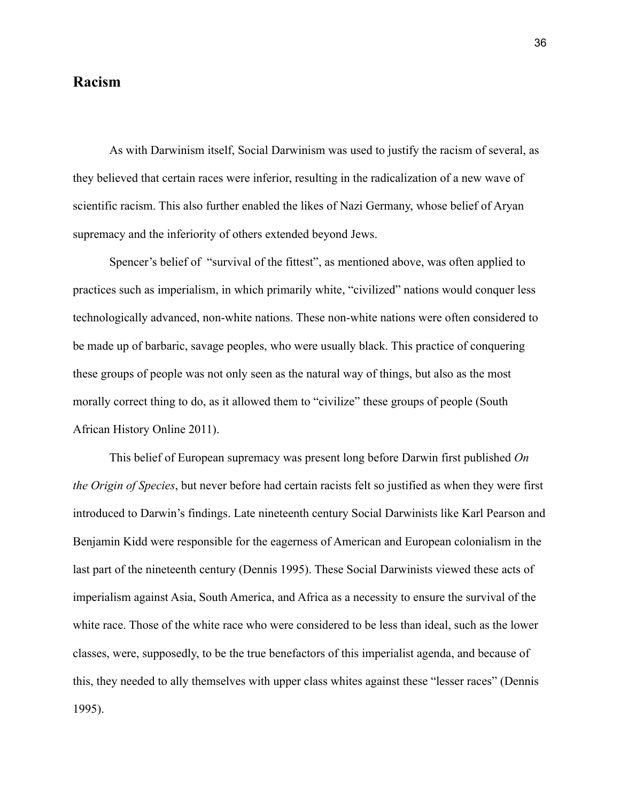#### **Racism**

As with Darwinism itself, Social Darwinism was used to justify the racism of several, as they believed that certain races were inferior, resulting in the radicalization of a new wave of scientific racism. This also further enabled the likes of Nazi Germany, whose belief of Aryan supremacy and the inferiority of others extended beyond Jews.

Spencer's belief of "survival of the fittest", as mentioned above, was often applied to practices such as imperialism, in which primarily white, "civilized" nations would conquer less technologically advanced, non-white nations. These non-white nations were often considered to be made up of barbaric, savage peoples, who were usually black. This practice of conquering these groups of people was not only seen as the natural way of things, but also as the most morally correct thing to do, as it allowed them to "civilize" these groups of people (South African History Online 2011).

This belief of European supremacy was present long before Darwin first published *On the Origin of Species*, but never before had certain racists felt so justified as when they were first introduced to Darwin's findings. Late nineteenth century Social Darwinists like Karl Pearson and Benjamin Kidd were responsible for the eagerness of American and European colonialism in the last part of the nineteenth century (Dennis 1995). These Social Darwinists viewed these acts of imperialism against Asia, South America, and Africa as a necessity to ensure the survival of the white race. Those of the white race who were considered to be less than ideal, such as the lower classes, were, supposedly, to be the true benefactors of this imperialist agenda, and because of this, they needed to ally themselves with upper class whites against these "lesser races" (Dennis 1995).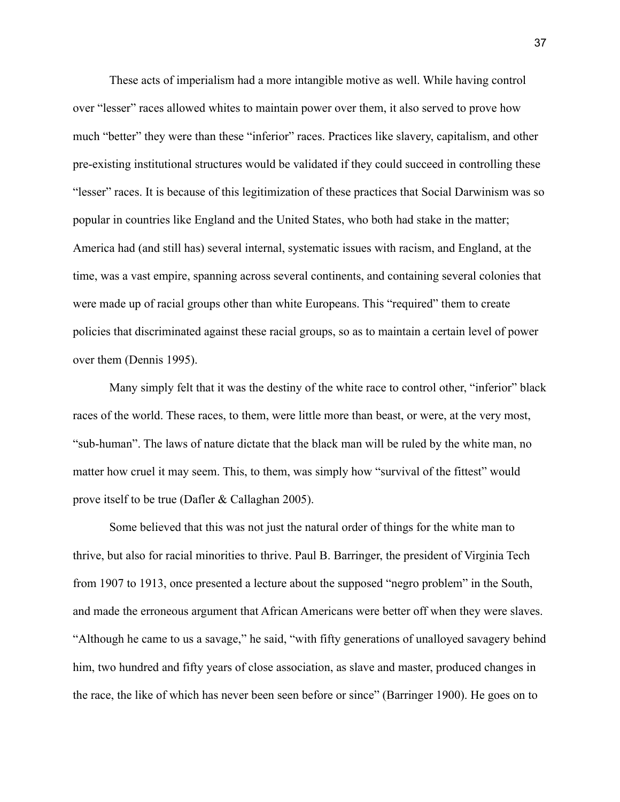These acts of imperialism had a more intangible motive as well. While having control over "lesser" races allowed whites to maintain power over them, it also served to prove how much "better" they were than these "inferior" races. Practices like slavery, capitalism, and other pre-existing institutional structures would be validated if they could succeed in controlling these "lesser" races. It is because of this legitimization of these practices that Social Darwinism was so popular in countries like England and the United States, who both had stake in the matter; America had (and still has) several internal, systematic issues with racism, and England, at the time, was a vast empire, spanning across several continents, and containing several colonies that were made up of racial groups other than white Europeans. This "required" them to create policies that discriminated against these racial groups, so as to maintain a certain level of power over them (Dennis 1995).

Many simply felt that it was the destiny of the white race to control other, "inferior" black races of the world. These races, to them, were little more than beast, or were, at the very most, "sub-human". The laws of nature dictate that the black man will be ruled by the white man, no matter how cruel it may seem. This, to them, was simply how "survival of the fittest" would prove itself to be true (Dafler & Callaghan 2005).

Some believed that this was not just the natural order of things for the white man to thrive, but also for racial minorities to thrive. Paul B. Barringer, the president of Virginia Tech from 1907 to 1913, once presented a lecture about the supposed "negro problem" in the South, and made the erroneous argument that African Americans were better off when they were slaves. "Although he came to us a savage," he said, "with fifty generations of unalloyed savagery behind him, two hundred and fifty years of close association, as slave and master, produced changes in the race, the like of which has never been seen before or since" (Barringer 1900). He goes on to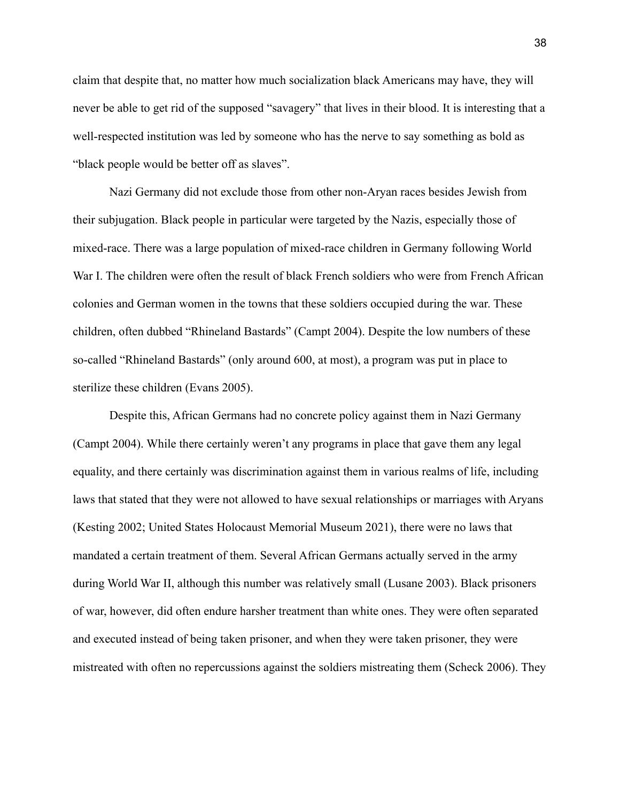claim that despite that, no matter how much socialization black Americans may have, they will never be able to get rid of the supposed "savagery" that lives in their blood. It is interesting that a well-respected institution was led by someone who has the nerve to say something as bold as "black people would be better off as slaves".

Nazi Germany did not exclude those from other non-Aryan races besides Jewish from their subjugation. Black people in particular were targeted by the Nazis, especially those of mixed-race. There was a large population of mixed-race children in Germany following World War I. The children were often the result of black French soldiers who were from French African colonies and German women in the towns that these soldiers occupied during the war. These children, often dubbed "Rhineland Bastards" (Campt 2004). Despite the low numbers of these so-called "Rhineland Bastards" (only around 600, at most), a program was put in place to sterilize these children (Evans 2005).

Despite this, African Germans had no concrete policy against them in Nazi Germany (Campt 2004). While there certainly weren't any programs in place that gave them any legal equality, and there certainly was discrimination against them in various realms of life, including laws that stated that they were not allowed to have sexual relationships or marriages with Aryans (Kesting 2002; United States Holocaust Memorial Museum 2021), there were no laws that mandated a certain treatment of them. Several African Germans actually served in the army during World War II, although this number was relatively small (Lusane 2003). Black prisoners of war, however, did often endure harsher treatment than white ones. They were often separated and executed instead of being taken prisoner, and when they were taken prisoner, they were mistreated with often no repercussions against the soldiers mistreating them (Scheck 2006). They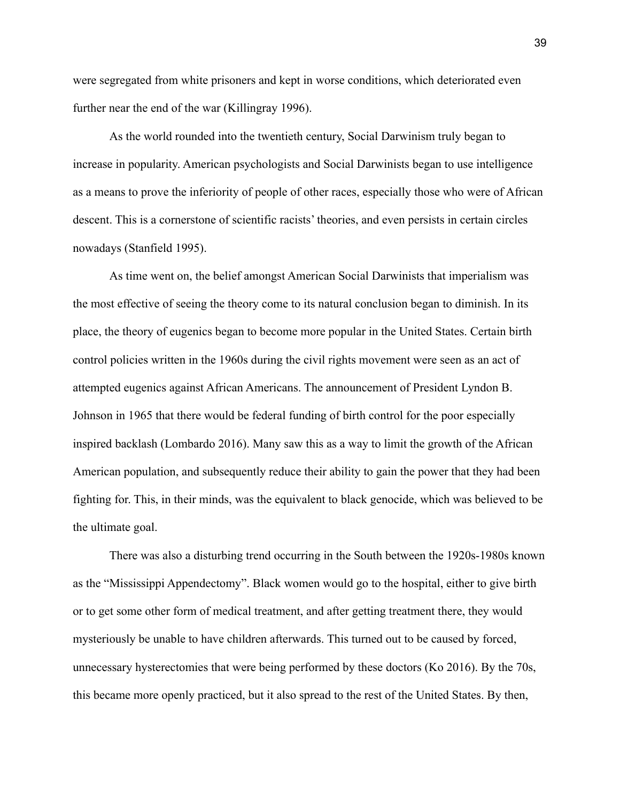were segregated from white prisoners and kept in worse conditions, which deteriorated even further near the end of the war (Killingray 1996).

As the world rounded into the twentieth century, Social Darwinism truly began to increase in popularity. American psychologists and Social Darwinists began to use intelligence as a means to prove the inferiority of people of other races, especially those who were of African descent. This is a cornerstone of scientific racists' theories, and even persists in certain circles nowadays (Stanfield 1995).

As time went on, the belief amongst American Social Darwinists that imperialism was the most effective of seeing the theory come to its natural conclusion began to diminish. In its place, the theory of eugenics began to become more popular in the United States. Certain birth control policies written in the 1960s during the civil rights movement were seen as an act of attempted eugenics against African Americans. The announcement of President Lyndon B. Johnson in 1965 that there would be federal funding of birth control for the poor especially inspired backlash (Lombardo 2016). Many saw this as a way to limit the growth of the African American population, and subsequently reduce their ability to gain the power that they had been fighting for. This, in their minds, was the equivalent to black genocide, which was believed to be the ultimate goal.

There was also a disturbing trend occurring in the South between the 1920s-1980s known as the "Mississippi Appendectomy". Black women would go to the hospital, either to give birth or to get some other form of medical treatment, and after getting treatment there, they would mysteriously be unable to have children afterwards. This turned out to be caused by forced, unnecessary hysterectomies that were being performed by these doctors (Ko 2016). By the 70s, this became more openly practiced, but it also spread to the rest of the United States. By then,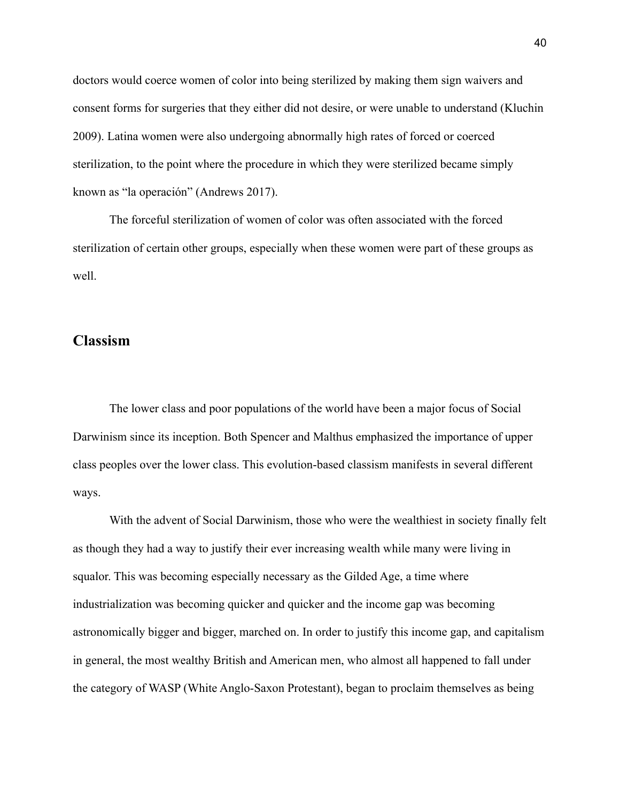doctors would coerce women of color into being sterilized by making them sign waivers and consent forms for surgeries that they either did not desire, or were unable to understand (Kluchin 2009). Latina women were also undergoing abnormally high rates of forced or coerced sterilization, to the point where the procedure in which they were sterilized became simply known as "la operación" (Andrews 2017).

The forceful sterilization of women of color was often associated with the forced sterilization of certain other groups, especially when these women were part of these groups as well.

#### **Classism**

The lower class and poor populations of the world have been a major focus of Social Darwinism since its inception. Both Spencer and Malthus emphasized the importance of upper class peoples over the lower class. This evolution-based classism manifests in several different ways.

With the advent of Social Darwinism, those who were the wealthiest in society finally felt as though they had a way to justify their ever increasing wealth while many were living in squalor. This was becoming especially necessary as the Gilded Age, a time where industrialization was becoming quicker and quicker and the income gap was becoming astronomically bigger and bigger, marched on. In order to justify this income gap, and capitalism in general, the most wealthy British and American men, who almost all happened to fall under the category of WASP (White Anglo-Saxon Protestant), began to proclaim themselves as being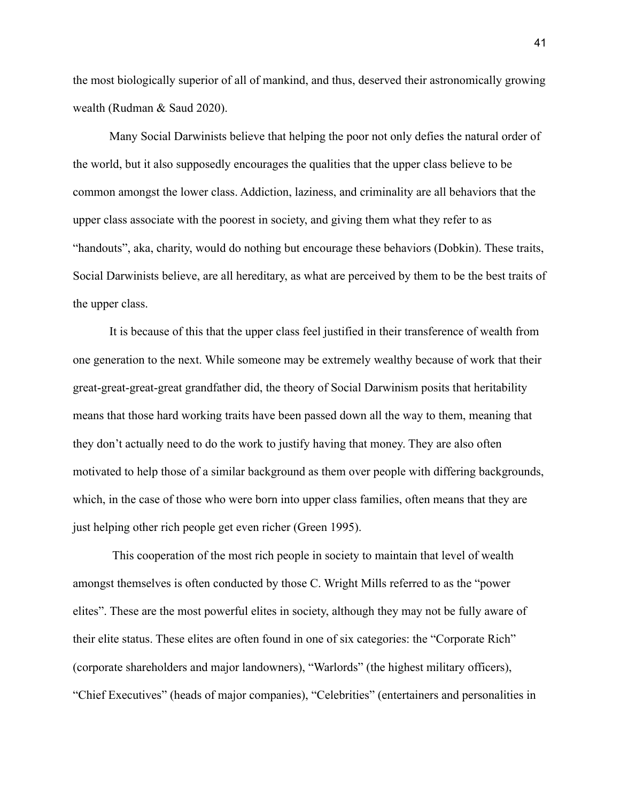the most biologically superior of all of mankind, and thus, deserved their astronomically growing wealth (Rudman & Saud 2020).

Many Social Darwinists believe that helping the poor not only defies the natural order of the world, but it also supposedly encourages the qualities that the upper class believe to be common amongst the lower class. Addiction, laziness, and criminality are all behaviors that the upper class associate with the poorest in society, and giving them what they refer to as "handouts", aka, charity, would do nothing but encourage these behaviors (Dobkin). These traits, Social Darwinists believe, are all hereditary, as what are perceived by them to be the best traits of the upper class.

It is because of this that the upper class feel justified in their transference of wealth from one generation to the next. While someone may be extremely wealthy because of work that their great-great-great-great grandfather did, the theory of Social Darwinism posits that heritability means that those hard working traits have been passed down all the way to them, meaning that they don't actually need to do the work to justify having that money. They are also often motivated to help those of a similar background as them over people with differing backgrounds, which, in the case of those who were born into upper class families, often means that they are just helping other rich people get even richer (Green 1995).

This cooperation of the most rich people in society to maintain that level of wealth amongst themselves is often conducted by those C. Wright Mills referred to as the "power elites". These are the most powerful elites in society, although they may not be fully aware of their elite status. These elites are often found in one of six categories: the "Corporate Rich" (corporate shareholders and major landowners), "Warlords" (the highest military officers), "Chief Executives" (heads of major companies), "Celebrities" (entertainers and personalities in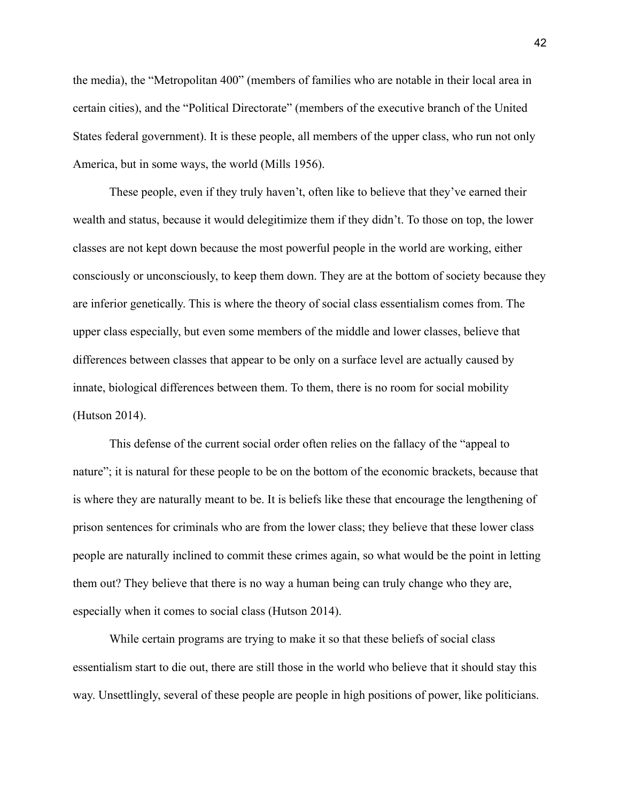the media), the "Metropolitan 400" (members of families who are notable in their local area in certain cities), and the "Political Directorate" (members of the executive branch of the United States federal government). It is these people, all members of the upper class, who run not only America, but in some ways, the world (Mills 1956).

These people, even if they truly haven't, often like to believe that they've earned their wealth and status, because it would delegitimize them if they didn't. To those on top, the lower classes are not kept down because the most powerful people in the world are working, either consciously or unconsciously, to keep them down. They are at the bottom of society because they are inferior genetically. This is where the theory of social class essentialism comes from. The upper class especially, but even some members of the middle and lower classes, believe that differences between classes that appear to be only on a surface level are actually caused by innate, biological differences between them. To them, there is no room for social mobility (Hutson 2014).

This defense of the current social order often relies on the fallacy of the "appeal to nature"; it is natural for these people to be on the bottom of the economic brackets, because that is where they are naturally meant to be. It is beliefs like these that encourage the lengthening of prison sentences for criminals who are from the lower class; they believe that these lower class people are naturally inclined to commit these crimes again, so what would be the point in letting them out? They believe that there is no way a human being can truly change who they are, especially when it comes to social class (Hutson 2014).

While certain programs are trying to make it so that these beliefs of social class essentialism start to die out, there are still those in the world who believe that it should stay this way. Unsettlingly, several of these people are people in high positions of power, like politicians.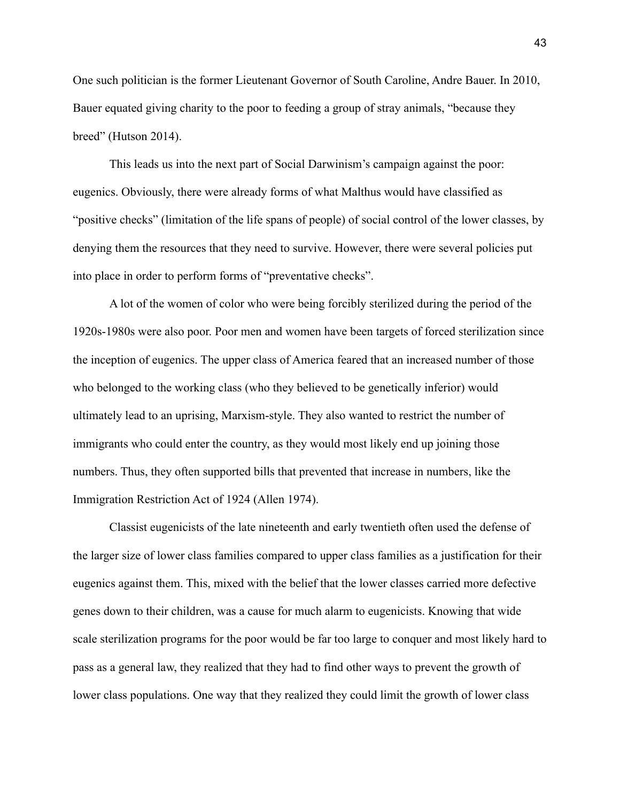One such politician is the former Lieutenant Governor of South Caroline, Andre Bauer. In 2010, Bauer equated giving charity to the poor to feeding a group of stray animals, "because they breed" (Hutson 2014).

This leads us into the next part of Social Darwinism's campaign against the poor: eugenics. Obviously, there were already forms of what Malthus would have classified as "positive checks" (limitation of the life spans of people) of social control of the lower classes, by denying them the resources that they need to survive. However, there were several policies put into place in order to perform forms of "preventative checks".

A lot of the women of color who were being forcibly sterilized during the period of the 1920s-1980s were also poor. Poor men and women have been targets of forced sterilization since the inception of eugenics. The upper class of America feared that an increased number of those who belonged to the working class (who they believed to be genetically inferior) would ultimately lead to an uprising, Marxism-style. They also wanted to restrict the number of immigrants who could enter the country, as they would most likely end up joining those numbers. Thus, they often supported bills that prevented that increase in numbers, like the Immigration Restriction Act of 1924 (Allen 1974).

Classist eugenicists of the late nineteenth and early twentieth often used the defense of the larger size of lower class families compared to upper class families as a justification for their eugenics against them. This, mixed with the belief that the lower classes carried more defective genes down to their children, was a cause for much alarm to eugenicists. Knowing that wide scale sterilization programs for the poor would be far too large to conquer and most likely hard to pass as a general law, they realized that they had to find other ways to prevent the growth of lower class populations. One way that they realized they could limit the growth of lower class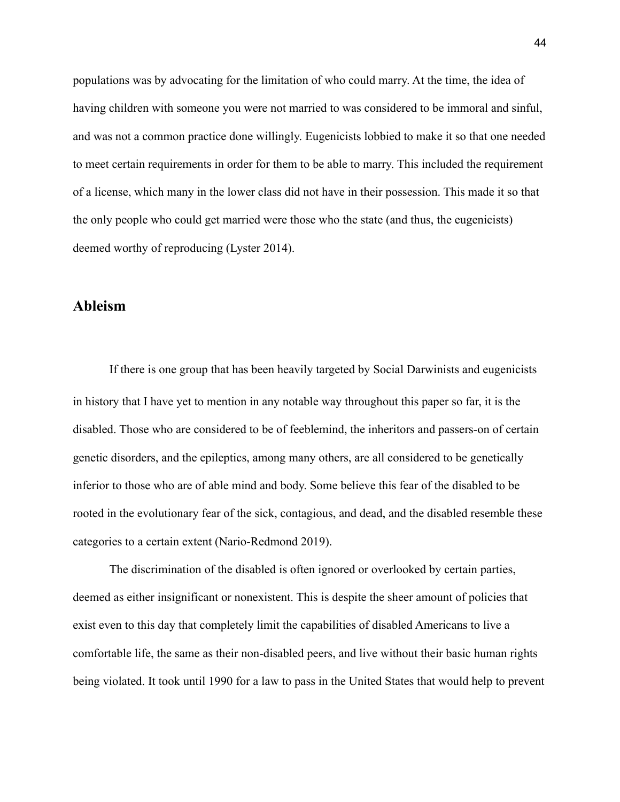populations was by advocating for the limitation of who could marry. At the time, the idea of having children with someone you were not married to was considered to be immoral and sinful, and was not a common practice done willingly. Eugenicists lobbied to make it so that one needed to meet certain requirements in order for them to be able to marry. This included the requirement of a license, which many in the lower class did not have in their possession. This made it so that the only people who could get married were those who the state (and thus, the eugenicists) deemed worthy of reproducing (Lyster 2014).

#### **Ableism**

If there is one group that has been heavily targeted by Social Darwinists and eugenicists in history that I have yet to mention in any notable way throughout this paper so far, it is the disabled. Those who are considered to be of feeblemind, the inheritors and passers-on of certain genetic disorders, and the epileptics, among many others, are all considered to be genetically inferior to those who are of able mind and body. Some believe this fear of the disabled to be rooted in the evolutionary fear of the sick, contagious, and dead, and the disabled resemble these categories to a certain extent (Nario-Redmond 2019).

The discrimination of the disabled is often ignored or overlooked by certain parties, deemed as either insignificant or nonexistent. This is despite the sheer amount of policies that exist even to this day that completely limit the capabilities of disabled Americans to live a comfortable life, the same as their non-disabled peers, and live without their basic human rights being violated. It took until 1990 for a law to pass in the United States that would help to prevent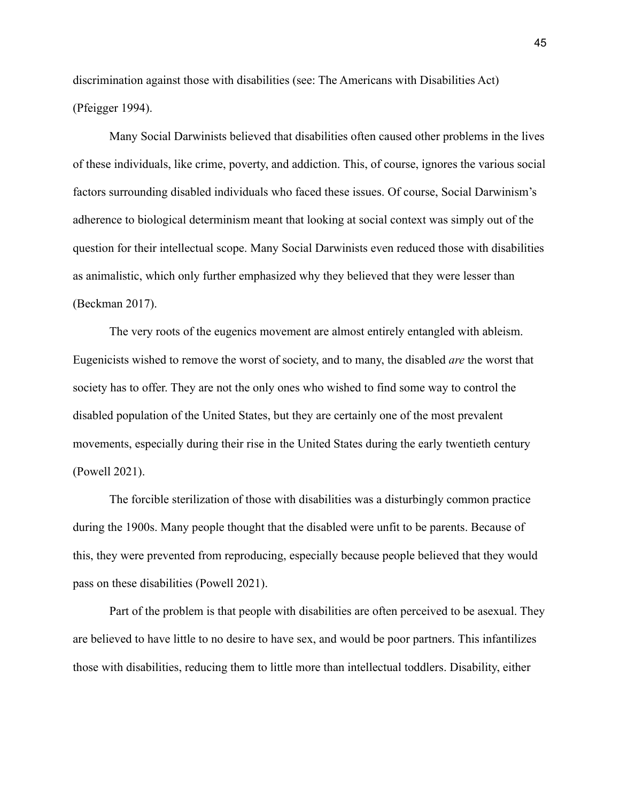discrimination against those with disabilities (see: The Americans with Disabilities Act) (Pfeigger 1994).

Many Social Darwinists believed that disabilities often caused other problems in the lives of these individuals, like crime, poverty, and addiction. This, of course, ignores the various social factors surrounding disabled individuals who faced these issues. Of course, Social Darwinism's adherence to biological determinism meant that looking at social context was simply out of the question for their intellectual scope. Many Social Darwinists even reduced those with disabilities as animalistic, which only further emphasized why they believed that they were lesser than (Beckman 2017).

The very roots of the eugenics movement are almost entirely entangled with ableism. Eugenicists wished to remove the worst of society, and to many, the disabled *are* the worst that society has to offer. They are not the only ones who wished to find some way to control the disabled population of the United States, but they are certainly one of the most prevalent movements, especially during their rise in the United States during the early twentieth century (Powell 2021).

The forcible sterilization of those with disabilities was a disturbingly common practice during the 1900s. Many people thought that the disabled were unfit to be parents. Because of this, they were prevented from reproducing, especially because people believed that they would pass on these disabilities (Powell 2021).

Part of the problem is that people with disabilities are often perceived to be asexual. They are believed to have little to no desire to have sex, and would be poor partners. This infantilizes those with disabilities, reducing them to little more than intellectual toddlers. Disability, either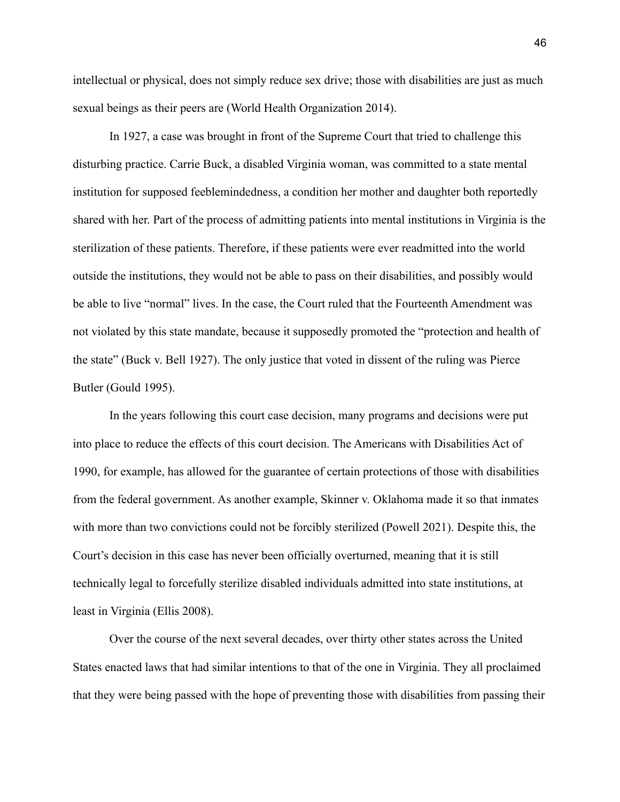intellectual or physical, does not simply reduce sex drive; those with disabilities are just as much sexual beings as their peers are (World Health Organization 2014).

In 1927, a case was brought in front of the Supreme Court that tried to challenge this disturbing practice. Carrie Buck, a disabled Virginia woman, was committed to a state mental institution for supposed feeblemindedness, a condition her mother and daughter both reportedly shared with her. Part of the process of admitting patients into mental institutions in Virginia is the sterilization of these patients. Therefore, if these patients were ever readmitted into the world outside the institutions, they would not be able to pass on their disabilities, and possibly would be able to live "normal" lives. In the case, the Court ruled that the Fourteenth Amendment was not violated by this state mandate, because it supposedly promoted the "protection and health of the state" (Buck v. Bell 1927). The only justice that voted in dissent of the ruling was Pierce Butler (Gould 1995).

In the years following this court case decision, many programs and decisions were put into place to reduce the effects of this court decision. The Americans with Disabilities Act of 1990, for example, has allowed for the guarantee of certain protections of those with disabilities from the federal government. As another example, Skinner v. Oklahoma made it so that inmates with more than two convictions could not be forcibly sterilized (Powell 2021). Despite this, the Court's decision in this case has never been officially overturned, meaning that it is still technically legal to forcefully sterilize disabled individuals admitted into state institutions, at least in Virginia (Ellis 2008).

Over the course of the next several decades, over thirty other states across the United States enacted laws that had similar intentions to that of the one in Virginia. They all proclaimed that they were being passed with the hope of preventing those with disabilities from passing their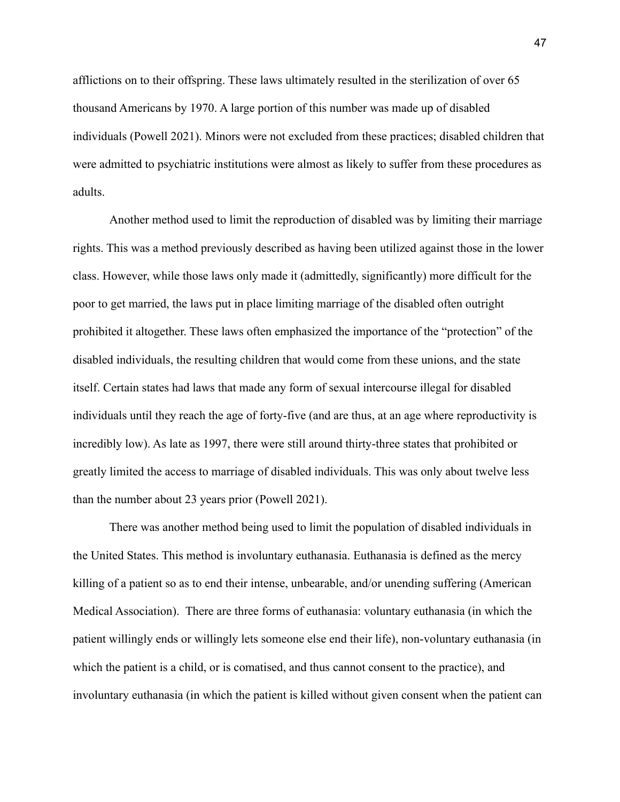afflictions on to their offspring. These laws ultimately resulted in the sterilization of over 65 thousand Americans by 1970. A large portion of this number was made up of disabled individuals (Powell 2021). Minors were not excluded from these practices; disabled children that were admitted to psychiatric institutions were almost as likely to suffer from these procedures as adults.

Another method used to limit the reproduction of disabled was by limiting their marriage rights. This was a method previously described as having been utilized against those in the lower class. However, while those laws only made it (admittedly, significantly) more difficult for the poor to get married, the laws put in place limiting marriage of the disabled often outright prohibited it altogether. These laws often emphasized the importance of the "protection" of the disabled individuals, the resulting children that would come from these unions, and the state itself. Certain states had laws that made any form of sexual intercourse illegal for disabled individuals until they reach the age of forty-five (and are thus, at an age where reproductivity is incredibly low). As late as 1997, there were still around thirty-three states that prohibited or greatly limited the access to marriage of disabled individuals. This was only about twelve less than the number about 23 years prior (Powell 2021).

There was another method being used to limit the population of disabled individuals in the United States. This method is involuntary euthanasia. Euthanasia is defined as the mercy killing of a patient so as to end their intense, unbearable, and/or unending suffering (American Medical Association). There are three forms of euthanasia: voluntary euthanasia (in which the patient willingly ends or willingly lets someone else end their life), non-voluntary euthanasia (in which the patient is a child, or is comatised, and thus cannot consent to the practice), and involuntary euthanasia (in which the patient is killed without given consent when the patient can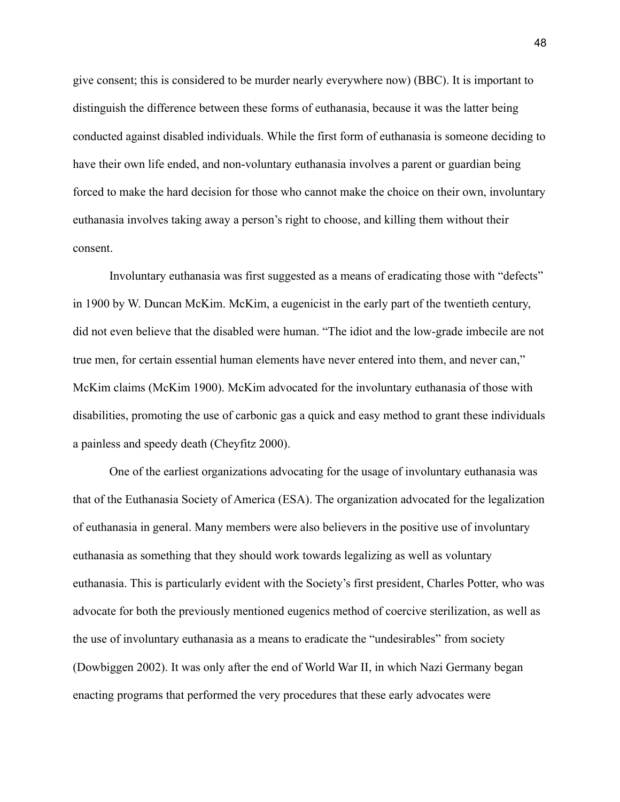give consent; this is considered to be murder nearly everywhere now) (BBC). It is important to distinguish the difference between these forms of euthanasia, because it was the latter being conducted against disabled individuals. While the first form of euthanasia is someone deciding to have their own life ended, and non-voluntary euthanasia involves a parent or guardian being forced to make the hard decision for those who cannot make the choice on their own, involuntary euthanasia involves taking away a person's right to choose, and killing them without their consent.

Involuntary euthanasia was first suggested as a means of eradicating those with "defects" in 1900 by W. Duncan McKim. McKim, a eugenicist in the early part of the twentieth century, did not even believe that the disabled were human. "The idiot and the low-grade imbecile are not true men, for certain essential human elements have never entered into them, and never can," McKim claims (McKim 1900). McKim advocated for the involuntary euthanasia of those with disabilities, promoting the use of carbonic gas a quick and easy method to grant these individuals a painless and speedy death (Cheyfitz 2000).

One of the earliest organizations advocating for the usage of involuntary euthanasia was that of the Euthanasia Society of America (ESA). The organization advocated for the legalization of euthanasia in general. Many members were also believers in the positive use of involuntary euthanasia as something that they should work towards legalizing as well as voluntary euthanasia. This is particularly evident with the Society's first president, Charles Potter, who was advocate for both the previously mentioned eugenics method of coercive sterilization, as well as the use of involuntary euthanasia as a means to eradicate the "undesirables" from society (Dowbiggen 2002). It was only after the end of World War II, in which Nazi Germany began enacting programs that performed the very procedures that these early advocates were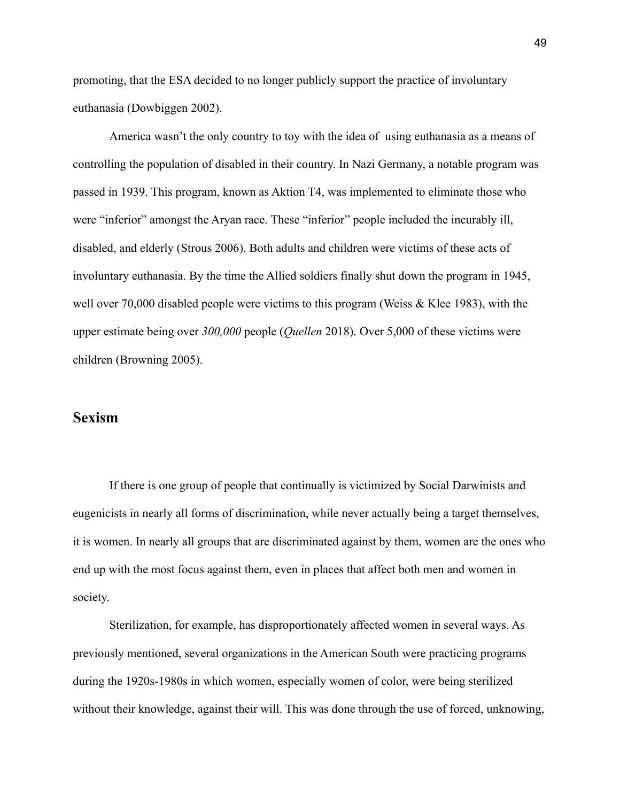promoting, that the ESA decided to no longer publicly support the practice of involuntary euthanasia (Dowbiggen 2002).

America wasn't the only country to toy with the idea of using euthanasia as a means of controlling the population of disabled in their country. In Nazi Germany, a notable program was passed in 1939. This program, known as Aktion T4, was implemented to eliminate those who were "inferior" amongst the Aryan race. These "inferior" people included the incurably ill, disabled, and elderly (Strous 2006). Both adults and children were victims of these acts of involuntary euthanasia. By the time the Allied soldiers finally shut down the program in 1945, well over 70,000 disabled people were victims to this program (Weiss & Klee 1983), with the upper estimate being over *300,000* people (*Quellen* 2018). Over 5,000 of these victims were children (Browning 2005).

#### **Sexism**

If there is one group of people that continually is victimized by Social Darwinists and eugenicists in nearly all forms of discrimination, while never actually being a target themselves, it is women. In nearly all groups that are discriminated against by them, women are the ones who end up with the most focus against them, even in places that affect both men and women in society.

Sterilization, for example, has disproportionately affected women in several ways. As previously mentioned, several organizations in the American South were practicing programs during the 1920s-1980s in which women, especially women of color, were being sterilized without their knowledge, against their will. This was done through the use of forced, unknowing,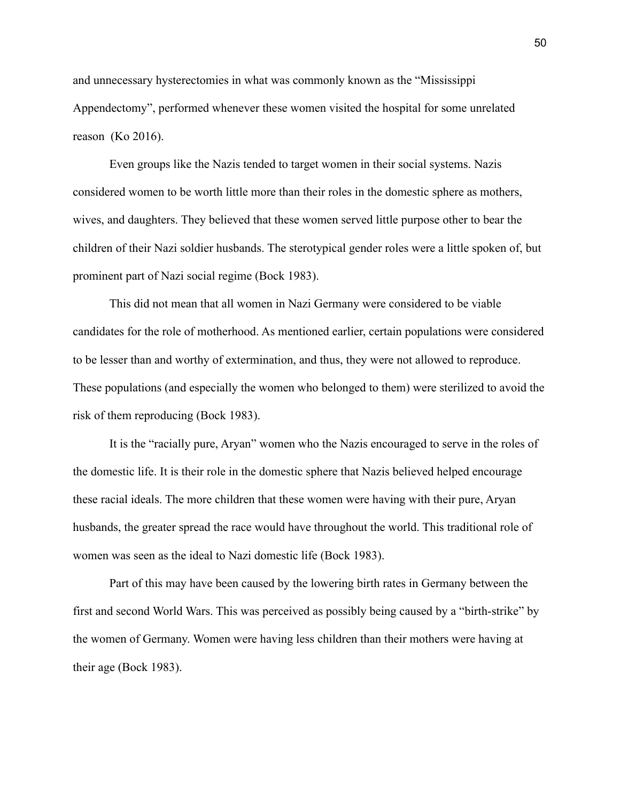and unnecessary hysterectomies in what was commonly known as the "Mississippi Appendectomy", performed whenever these women visited the hospital for some unrelated reason (Ko 2016).

Even groups like the Nazis tended to target women in their social systems. Nazis considered women to be worth little more than their roles in the domestic sphere as mothers, wives, and daughters. They believed that these women served little purpose other to bear the children of their Nazi soldier husbands. The sterotypical gender roles were a little spoken of, but prominent part of Nazi social regime (Bock 1983).

This did not mean that all women in Nazi Germany were considered to be viable candidates for the role of motherhood. As mentioned earlier, certain populations were considered to be lesser than and worthy of extermination, and thus, they were not allowed to reproduce. These populations (and especially the women who belonged to them) were sterilized to avoid the risk of them reproducing (Bock 1983).

It is the "racially pure, Aryan" women who the Nazis encouraged to serve in the roles of the domestic life. It is their role in the domestic sphere that Nazis believed helped encourage these racial ideals. The more children that these women were having with their pure, Aryan husbands, the greater spread the race would have throughout the world. This traditional role of women was seen as the ideal to Nazi domestic life (Bock 1983).

Part of this may have been caused by the lowering birth rates in Germany between the first and second World Wars. This was perceived as possibly being caused by a "birth-strike" by the women of Germany. Women were having less children than their mothers were having at their age (Bock 1983).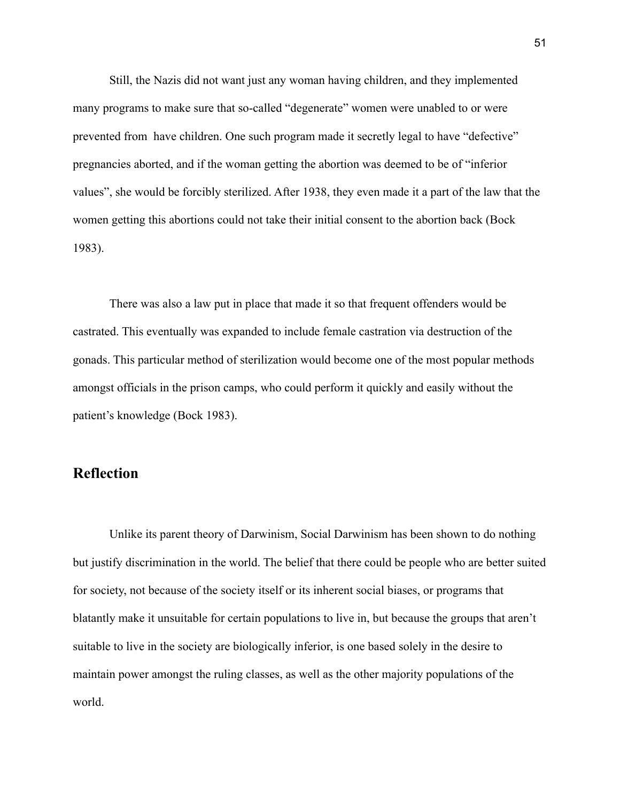Still, the Nazis did not want just any woman having children, and they implemented many programs to make sure that so-called "degenerate" women were unabled to or were prevented from have children. One such program made it secretly legal to have "defective" pregnancies aborted, and if the woman getting the abortion was deemed to be of "inferior values", she would be forcibly sterilized. After 1938, they even made it a part of the law that the women getting this abortions could not take their initial consent to the abortion back (Bock 1983).

There was also a law put in place that made it so that frequent offenders would be castrated. This eventually was expanded to include female castration via destruction of the gonads. This particular method of sterilization would become one of the most popular methods amongst officials in the prison camps, who could perform it quickly and easily without the patient's knowledge (Bock 1983).

#### **Reflection**

Unlike its parent theory of Darwinism, Social Darwinism has been shown to do nothing but justify discrimination in the world. The belief that there could be people who are better suited for society, not because of the society itself or its inherent social biases, or programs that blatantly make it unsuitable for certain populations to live in, but because the groups that aren't suitable to live in the society are biologically inferior, is one based solely in the desire to maintain power amongst the ruling classes, as well as the other majority populations of the world.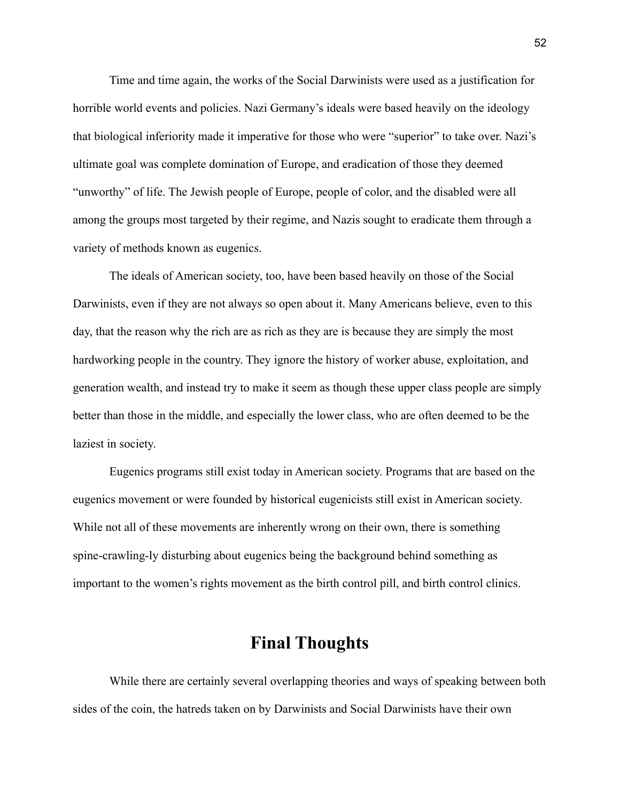Time and time again, the works of the Social Darwinists were used as a justification for horrible world events and policies. Nazi Germany's ideals were based heavily on the ideology that biological inferiority made it imperative for those who were "superior" to take over. Nazi's ultimate goal was complete domination of Europe, and eradication of those they deemed "unworthy" of life. The Jewish people of Europe, people of color, and the disabled were all among the groups most targeted by their regime, and Nazis sought to eradicate them through a variety of methods known as eugenics.

The ideals of American society, too, have been based heavily on those of the Social Darwinists, even if they are not always so open about it. Many Americans believe, even to this day, that the reason why the rich are as rich as they are is because they are simply the most hardworking people in the country. They ignore the history of worker abuse, exploitation, and generation wealth, and instead try to make it seem as though these upper class people are simply better than those in the middle, and especially the lower class, who are often deemed to be the laziest in society.

Eugenics programs still exist today in American society. Programs that are based on the eugenics movement or were founded by historical eugenicists still exist in American society. While not all of these movements are inherently wrong on their own, there is something spine-crawling-ly disturbing about eugenics being the background behind something as important to the women's rights movement as the birth control pill, and birth control clinics.

## **Final Thoughts**

While there are certainly several overlapping theories and ways of speaking between both sides of the coin, the hatreds taken on by Darwinists and Social Darwinists have their own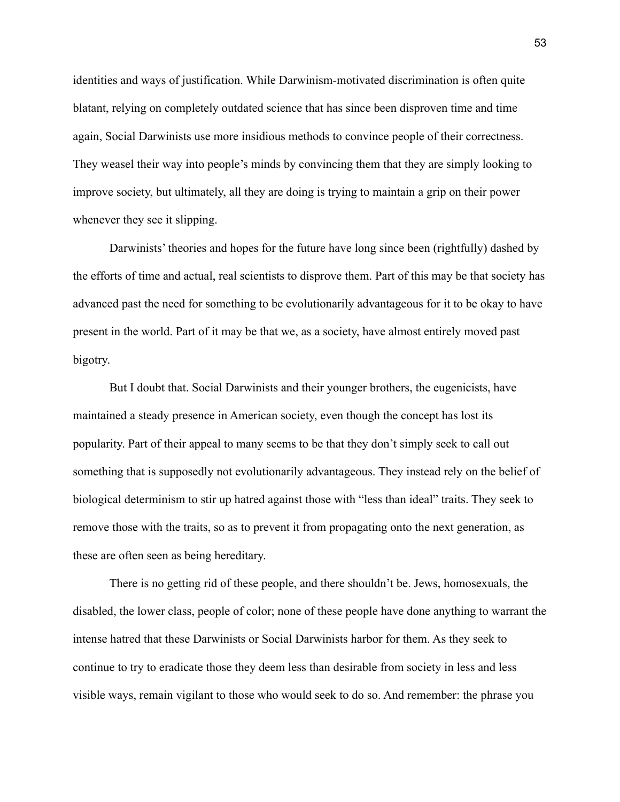identities and ways of justification. While Darwinism-motivated discrimination is often quite blatant, relying on completely outdated science that has since been disproven time and time again, Social Darwinists use more insidious methods to convince people of their correctness. They weasel their way into people's minds by convincing them that they are simply looking to improve society, but ultimately, all they are doing is trying to maintain a grip on their power whenever they see it slipping.

Darwinists' theories and hopes for the future have long since been (rightfully) dashed by the efforts of time and actual, real scientists to disprove them. Part of this may be that society has advanced past the need for something to be evolutionarily advantageous for it to be okay to have present in the world. Part of it may be that we, as a society, have almost entirely moved past bigotry.

But I doubt that. Social Darwinists and their younger brothers, the eugenicists, have maintained a steady presence in American society, even though the concept has lost its popularity. Part of their appeal to many seems to be that they don't simply seek to call out something that is supposedly not evolutionarily advantageous. They instead rely on the belief of biological determinism to stir up hatred against those with "less than ideal" traits. They seek to remove those with the traits, so as to prevent it from propagating onto the next generation, as these are often seen as being hereditary.

There is no getting rid of these people, and there shouldn't be. Jews, homosexuals, the disabled, the lower class, people of color; none of these people have done anything to warrant the intense hatred that these Darwinists or Social Darwinists harbor for them. As they seek to continue to try to eradicate those they deem less than desirable from society in less and less visible ways, remain vigilant to those who would seek to do so. And remember: the phrase you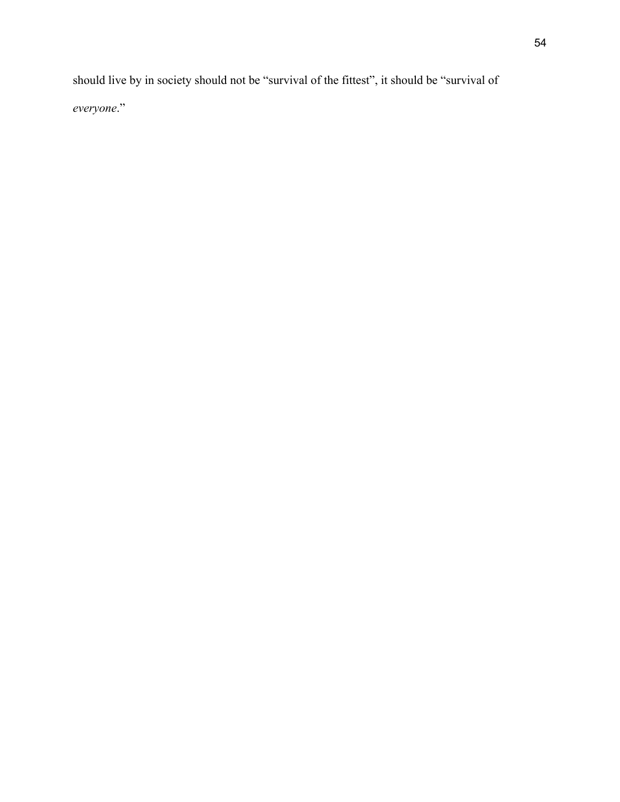should live by in society should not be "survival of the fittest", it should be "survival of *everyone*."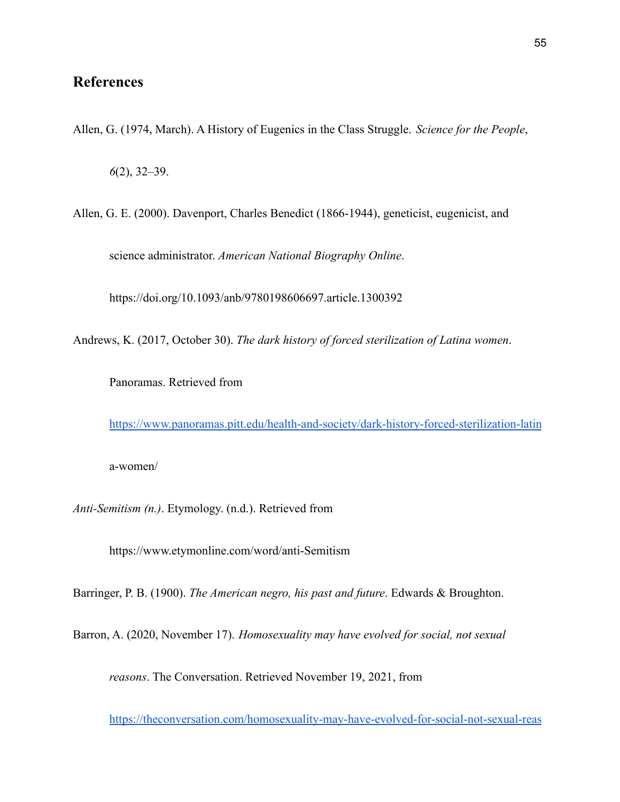### **References**

Allen, G. (1974, March). A History of Eugenics in the Class Struggle. *Science for the People*,

*6*(2), 32–39.

Allen, G. E. (2000). Davenport, Charles Benedict (1866-1944), geneticist, eugenicist, and

science administrator. *American National Biography Online*.

https://doi.org/10.1093/anb/9780198606697.article.1300392

Andrews, K. (2017, October 30). *The dark history of forced sterilization of Latina women*.

Panoramas. Retrieved from

<https://www.panoramas.pitt.edu/health-and-society/dark-history-forced-sterilization-latin>

a-women/

*Anti-Semitism (n.)*. Etymology. (n.d.). Retrieved from

https://www.etymonline.com/word/anti-Semitism

Barringer, P. B. (1900). *The American negro, his past and future*. Edwards & Broughton.

Barron, A. (2020, November 17). *Homosexuality may have evolved for social, not sexual*

*reasons*. The Conversation. Retrieved November 19, 2021, from

<https://theconversation.com/homosexuality-may-have-evolved-for-social-not-sexual-reas>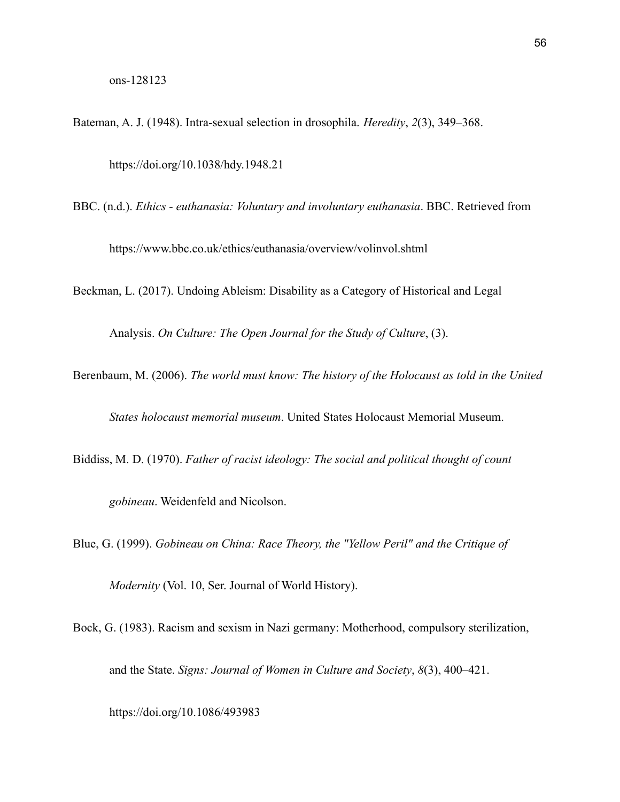Bateman, A. J. (1948). Intra-sexual selection in drosophila. *Heredity*, *2*(3), 349–368. https://doi.org/10.1038/hdy.1948.21

BBC. (n.d.). *Ethics - euthanasia: Voluntary and involuntary euthanasia*. BBC. Retrieved from

https://www.bbc.co.uk/ethics/euthanasia/overview/volinvol.shtml

Beckman, L. (2017). Undoing Ableism: Disability as a Category of Historical and Legal

Analysis. *On Culture: The Open Journal for the Study of Culture*, (3).

Berenbaum, M. (2006). *The world must know: The history of the Holocaust as told in the United*

*States holocaust memorial museum*. United States Holocaust Memorial Museum.

Biddiss, M. D. (1970). *Father of racist ideology: The social and political thought of count*

*gobineau*. Weidenfeld and Nicolson.

Blue, G. (1999). *Gobineau on China: Race Theory, the "Yellow Peril" and the Critique of*

*Modernity* (Vol. 10, Ser. Journal of World History).

Bock, G. (1983). Racism and sexism in Nazi germany: Motherhood, compulsory sterilization, and the State. *Signs: Journal of Women in Culture and Society*, *8*(3), 400–421.

https://doi.org/10.1086/493983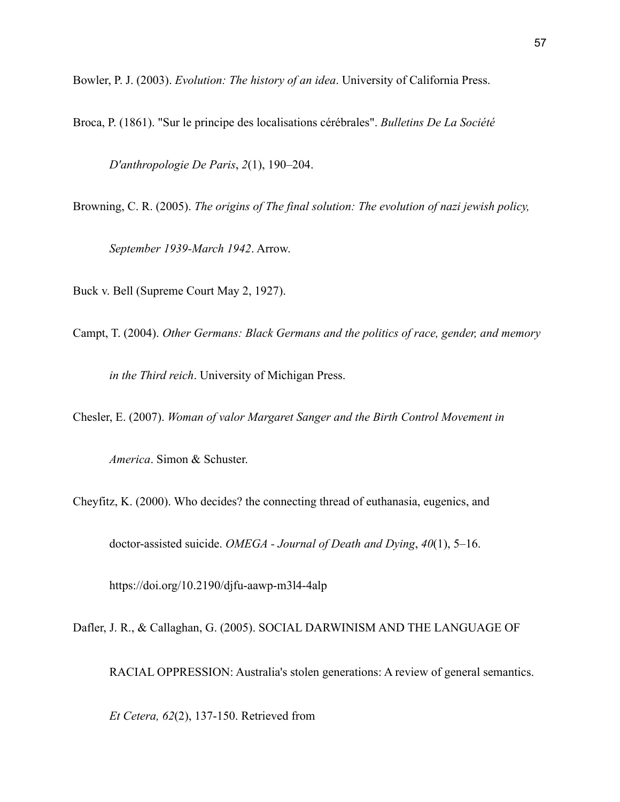Bowler, P. J. (2003). *Evolution: The history of an idea*. University of California Press.

Broca, P. (1861). "Sur le principe des localisations cérébrales". *Bulletins De La Société*

*D'anthropologie De Paris*, *2*(1), 190–204.

Browning, C. R. (2005). *The origins of The final solution: The evolution of nazi jewish policy,*

*September 1939-March 1942*. Arrow.

Buck v. Bell (Supreme Court May 2, 1927).

Campt, T. (2004). *Other Germans: Black Germans and the politics of race, gender, and memory*

*in the Third reich*. University of Michigan Press.

Chesler, E. (2007). *Woman of valor Margaret Sanger and the Birth Control Movement in*

*America*. Simon & Schuster.

Cheyfitz, K. (2000). Who decides? the connecting thread of euthanasia, eugenics, and

doctor-assisted suicide. *OMEGA - Journal of Death and Dying*, *40*(1), 5–16.

https://doi.org/10.2190/djfu-aawp-m3l4-4alp

Dafler, J. R., & Callaghan, G. (2005). SOCIAL DARWINISM AND THE LANGUAGE OF

RACIAL OPPRESSION: Australia's stolen generations: A review of general semantics.

*Et Cetera, 62*(2), 137-150. Retrieved from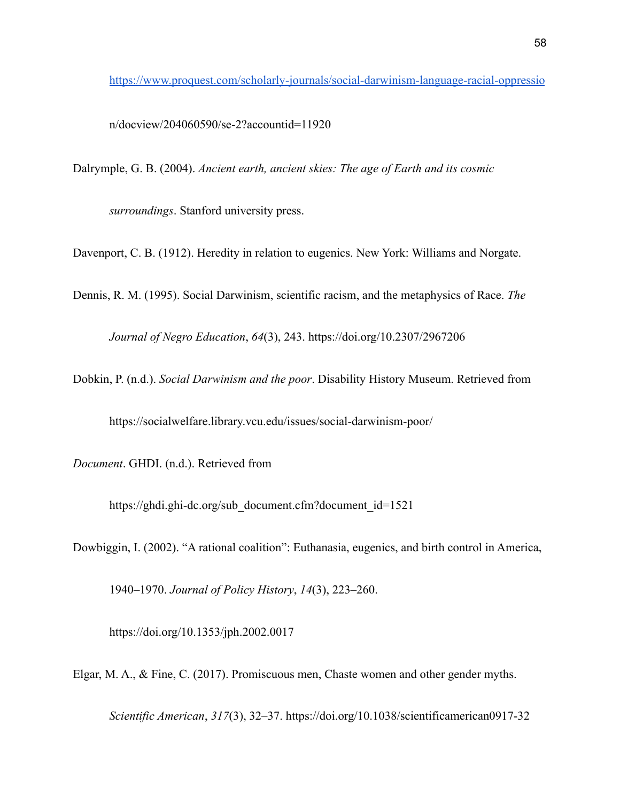<https://www.proquest.com/scholarly-journals/social-darwinism-language-racial-oppressio>

n/docview/204060590/se-2?accountid=11920

Dalrymple, G. B. (2004). *Ancient earth, ancient skies: The age of Earth and its cosmic*

*surroundings*. Stanford university press.

Davenport, C. B. (1912). Heredity in relation to eugenics. New York: Williams and Norgate.

Dennis, R. M. (1995). Social Darwinism, scientific racism, and the metaphysics of Race. *The Journal of Negro Education*, *64*(3), 243. https://doi.org/10.2307/2967206

Dobkin, P. (n.d.). *Social Darwinism and the poor*. Disability History Museum. Retrieved from

https://socialwelfare.library.vcu.edu/issues/social-darwinism-poor/

*Document*. GHDI. (n.d.). Retrieved from

https://ghdi.ghi-dc.org/sub\_document.cfm?document\_id=1521

Dowbiggin, I. (2002). "A rational coalition": Euthanasia, eugenics, and birth control in America,

1940–1970. *Journal of Policy History*, *14*(3), 223–260.

https://doi.org/10.1353/jph.2002.0017

Elgar, M. A., & Fine, C. (2017). Promiscuous men, Chaste women and other gender myths.

*Scientific American*, *317*(3), 32–37. https://doi.org/10.1038/scientificamerican0917-32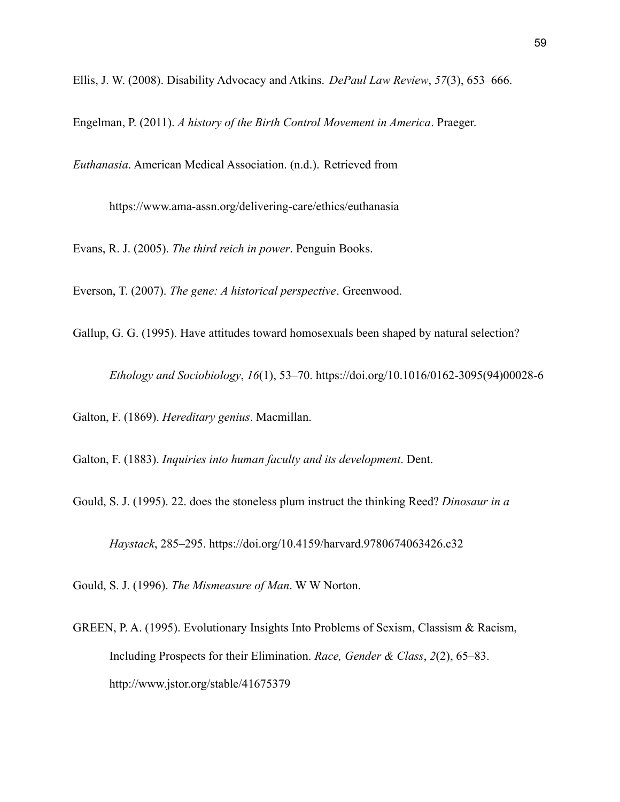Ellis, J. W. (2008). Disability Advocacy and Atkins. *DePaul Law Review*, *57*(3), 653–666.

Engelman, P. (2011). *A history of the Birth Control Movement in America*. Praeger.

*Euthanasia*. American Medical Association. (n.d.). Retrieved from

https://www.ama-assn.org/delivering-care/ethics/euthanasia

Evans, R. J. (2005). *The third reich in power*. Penguin Books.

Everson, T. (2007). *The gene: A historical perspective*. Greenwood.

Gallup, G. G. (1995). Have attitudes toward homosexuals been shaped by natural selection?

*Ethology and Sociobiology*, *16*(1), 53–70. https://doi.org/10.1016/0162-3095(94)00028-6

Galton, F. (1869). *Hereditary genius*. Macmillan.

Galton, F. (1883). *Inquiries into human faculty and its development*. Dent.

Gould, S. J. (1995). 22. does the stoneless plum instruct the thinking Reed? *Dinosaur in a*

*Haystack*, 285–295. https://doi.org/10.4159/harvard.9780674063426.c32

Gould, S. J. (1996). *The Mismeasure of Man*. W W Norton.

GREEN, P. A. (1995). Evolutionary Insights Into Problems of Sexism, Classism & Racism, Including Prospects for their Elimination. *Race, Gender & Class*, *2*(2), 65–83. http://www.jstor.org/stable/41675379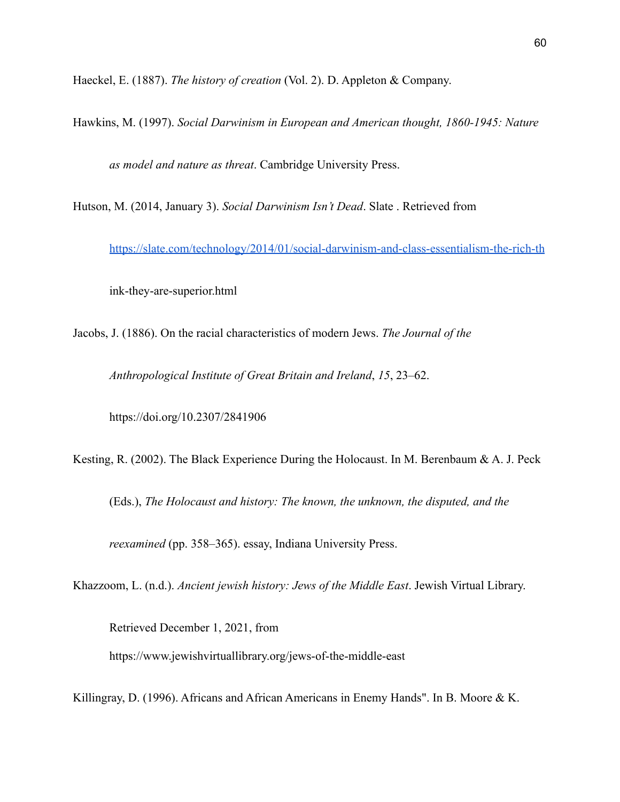Haeckel, E. (1887). *The history of creation* (Vol. 2). D. Appleton & Company.

Hawkins, M. (1997). *Social Darwinism in European and American thought, 1860-1945: Nature as model and nature as threat*. Cambridge University Press.

Hutson, M. (2014, January 3). *Social Darwinism Isn't Dead*. Slate . Retrieved from

<https://slate.com/technology/2014/01/social-darwinism-and-class-essentialism-the-rich-th>

ink-they-are-superior.html

Jacobs, J. (1886). On the racial characteristics of modern Jews. *The Journal of the*

*Anthropological Institute of Great Britain and Ireland*, *15*, 23–62.

https://doi.org/10.2307/2841906

Kesting, R. (2002). The Black Experience During the Holocaust. In M. Berenbaum & A. J. Peck

(Eds.), *The Holocaust and history: The known, the unknown, the disputed, and the*

*reexamined* (pp. 358–365). essay, Indiana University Press.

Khazzoom, L. (n.d.). *Ancient jewish history: Jews of the Middle East*. Jewish Virtual Library.

Retrieved December 1, 2021, from https://www.jewishvirtuallibrary.org/jews-of-the-middle-east

Killingray, D. (1996). Africans and African Americans in Enemy Hands". In B. Moore & K.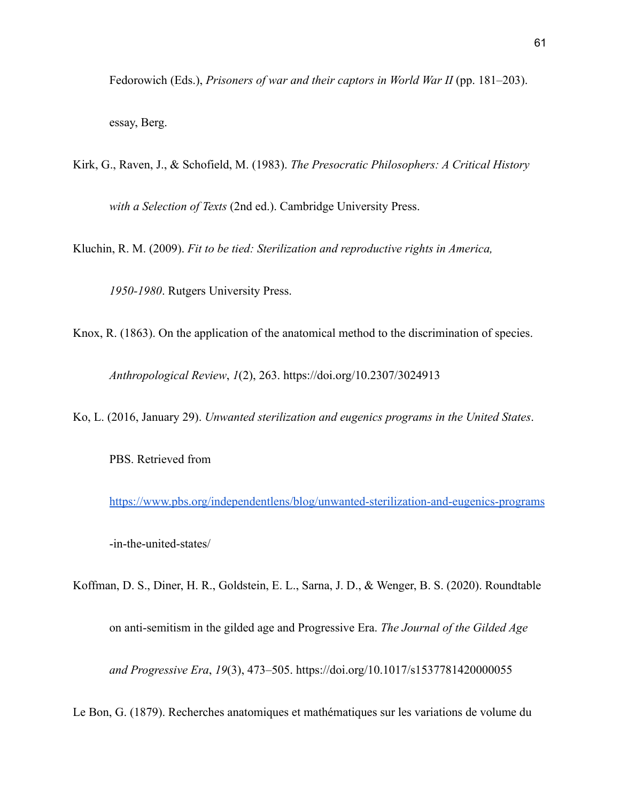Fedorowich (Eds.), *Prisoners of war and their captors in World War II* (pp. 181–203).

essay, Berg.

Kirk, G., Raven, J., & Schofield, M. (1983). *The Presocratic Philosophers: A Critical History with a Selection of Texts* (2nd ed.). Cambridge University Press.

Kluchin, R. M. (2009). *Fit to be tied: Sterilization and reproductive rights in America,*

*1950-1980*. Rutgers University Press.

Knox, R. (1863). On the application of the anatomical method to the discrimination of species. *Anthropological Review*, *1*(2), 263. https://doi.org/10.2307/3024913

Ko, L. (2016, January 29). *Unwanted sterilization and eugenics programs in the United States*.

PBS. Retrieved from

<https://www.pbs.org/independentlens/blog/unwanted-sterilization-and-eugenics-programs> -in-the-united-states/

Koffman, D. S., Diner, H. R., Goldstein, E. L., Sarna, J. D., & Wenger, B. S. (2020). Roundtable on anti-semitism in the gilded age and Progressive Era. *The Journal of the Gilded Age and Progressive Era*, *19*(3), 473–505. https://doi.org/10.1017/s1537781420000055

Le Bon, G. (1879). Recherches anatomiques et mathématiques sur les variations de volume du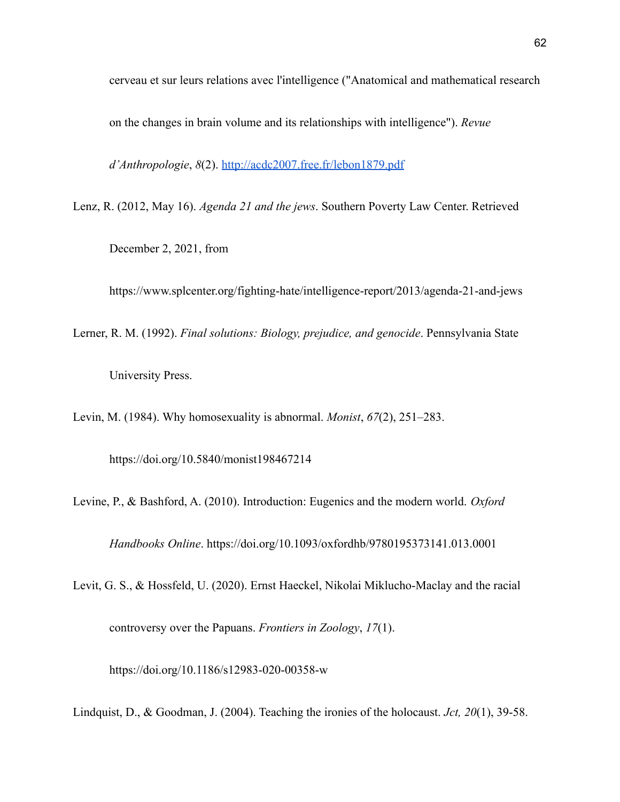cerveau et sur leurs relations avec l'intelligence ("Anatomical and mathematical research

on the changes in brain volume and its relationships with intelligence"). *Revue*

*d'Anthropologie*, *8*(2). <http://acdc2007.free.fr/lebon1879.pdf>

Lenz, R. (2012, May 16). *Agenda 21 and the jews*. Southern Poverty Law Center. Retrieved

December 2, 2021, from

https://www.splcenter.org/fighting-hate/intelligence-report/2013/agenda-21-and-jews

Lerner, R. M. (1992). *Final solutions: Biology, prejudice, and genocide*. Pennsylvania State

University Press.

Levin, M. (1984). Why homosexuality is abnormal. *Monist*, *67*(2), 251–283.

https://doi.org/10.5840/monist198467214

Levine, P., & Bashford, A. (2010). Introduction: Eugenics and the modern world. *Oxford*

*Handbooks Online*. https://doi.org/10.1093/oxfordhb/9780195373141.013.0001

Levit, G. S., & Hossfeld, U. (2020). Ernst Haeckel, Nikolai Miklucho-Maclay and the racial

controversy over the Papuans. *Frontiers in Zoology*, *17*(1).

https://doi.org/10.1186/s12983-020-00358-w

Lindquist, D., & Goodman, J. (2004). Teaching the ironies of the holocaust. *Jct, 20*(1), 39-58.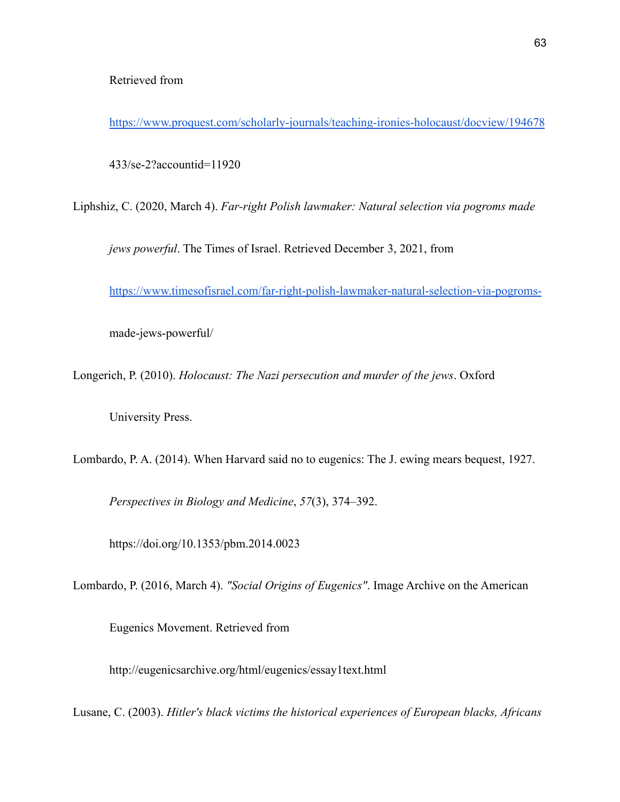<https://www.proquest.com/scholarly-journals/teaching-ironies-holocaust/docview/194678>

433/se-2?accountid=11920

Liphshiz, C. (2020, March 4). *Far-right Polish lawmaker: Natural selection via pogroms made*

*jews powerful*. The Times of Israel. Retrieved December 3, 2021, from

<https://www.timesofisrael.com/far-right-polish-lawmaker-natural-selection-via-pogroms->

made-jews-powerful/

Longerich, P. (2010). *Holocaust: The Nazi persecution and murder of the jews*. Oxford

University Press.

Lombardo, P. A. (2014). When Harvard said no to eugenics: The J. ewing mears bequest, 1927.

*Perspectives in Biology and Medicine*, *57*(3), 374–392.

https://doi.org/10.1353/pbm.2014.0023

Lombardo, P. (2016, March 4). *"Social Origins of Eugenics"*. Image Archive on the American

Eugenics Movement. Retrieved from

http://eugenicsarchive.org/html/eugenics/essay1text.html

Lusane, C. (2003). *Hitler's black victims the historical experiences of European blacks, Africans*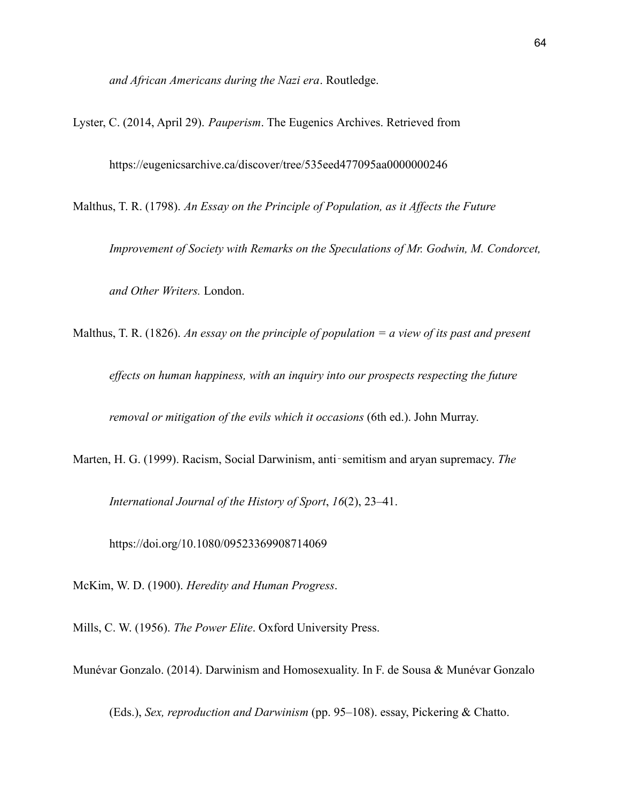*and African Americans during the Nazi era*. Routledge.

Lyster, C. (2014, April 29). *Pauperism*. The Eugenics Archives. Retrieved from

https://eugenicsarchive.ca/discover/tree/535eed477095aa0000000246

Malthus, T. R. (1798). *An Essay on the Principle of Population, as it Affects the Future*

*Improvement of Society with Remarks on the Speculations of Mr. Godwin, M. Condorcet, and Other Writers.* London.

Malthus, T. R. (1826). *An essay on the principle of population = a view of its past and present*

*effects on human happiness, with an inquiry into our prospects respecting the future*

*removal or mitigation of the evils which it occasions* (6th ed.). John Murray.

Marten, H. G. (1999). Racism, Social Darwinism, anti‐semitism and aryan supremacy. *The*

*International Journal of the History of Sport*, *16*(2), 23–41.

https://doi.org/10.1080/09523369908714069

McKim, W. D. (1900). *Heredity and Human Progress*.

Mills, C. W. (1956). *The Power Elite*. Oxford University Press.

Munévar Gonzalo. (2014). Darwinism and Homosexuality. In F. de Sousa & Munévar Gonzalo

(Eds.), *Sex, reproduction and Darwinism* (pp. 95–108). essay, Pickering & Chatto.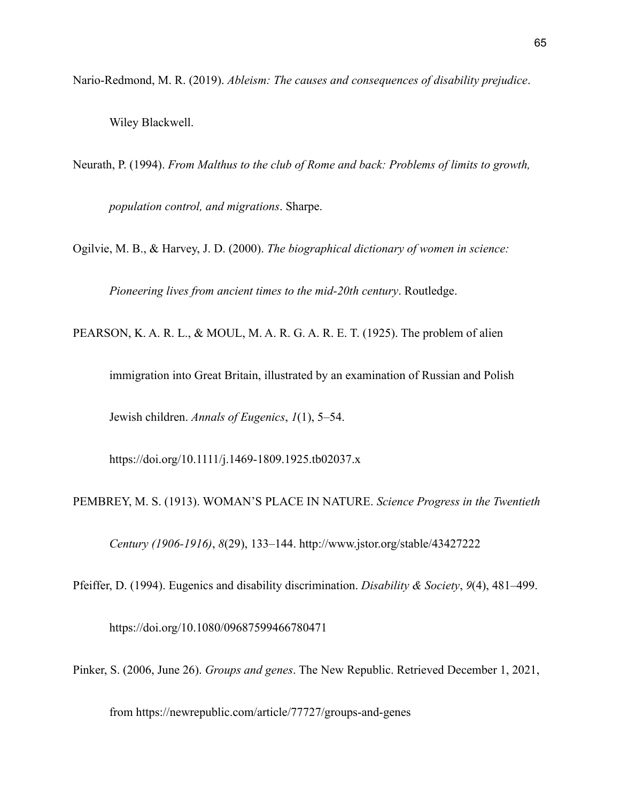Nario-Redmond, M. R. (2019). *Ableism: The causes and consequences of disability prejudice*.

Wiley Blackwell.

Neurath, P. (1994). *From Malthus to the club of Rome and back: Problems of limits to growth, population control, and migrations*. Sharpe.

Ogilvie, M. B., & Harvey, J. D. (2000). *The biographical dictionary of women in science:*

*Pioneering lives from ancient times to the mid-20th century*. Routledge.

PEARSON, K. A. R. L., & MOUL, M. A. R. G. A. R. E. T. (1925). The problem of alien

immigration into Great Britain, illustrated by an examination of Russian and Polish

Jewish children. *Annals of Eugenics*, *1*(1), 5–54.

https://doi.org/10.1111/j.1469-1809.1925.tb02037.x

PEMBREY, M. S. (1913). WOMAN'S PLACE IN NATURE. *Science Progress in the Twentieth*

*Century (1906-1916)*, *8*(29), 133–144. http://www.jstor.org/stable/43427222

Pfeiffer, D. (1994). Eugenics and disability discrimination. *Disability & Society*, *9*(4), 481–499.

https://doi.org/10.1080/09687599466780471

Pinker, S. (2006, June 26). *Groups and genes*. The New Republic. Retrieved December 1, 2021,

from https://newrepublic.com/article/77727/groups-and-genes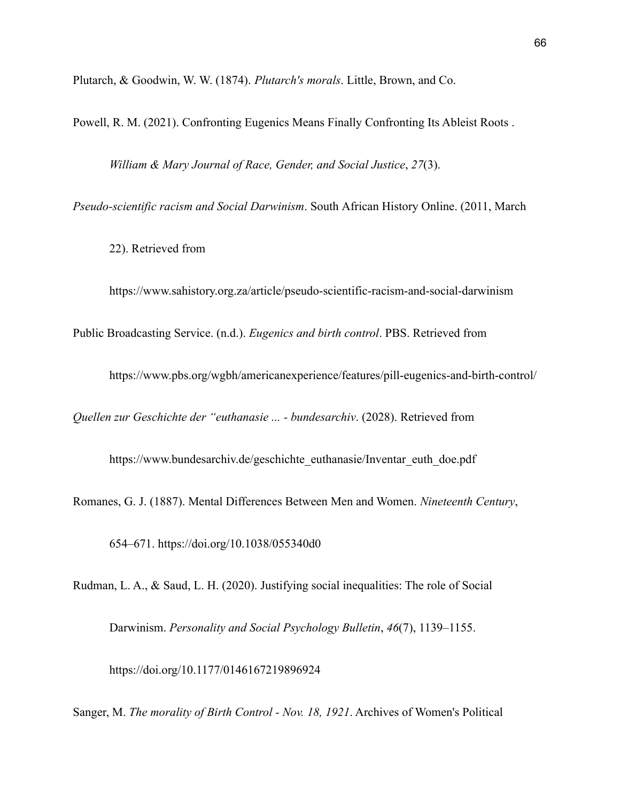Plutarch, & Goodwin, W. W. (1874). *Plutarch's morals*. Little, Brown, and Co.

Powell, R. M. (2021). Confronting Eugenics Means Finally Confronting Its Ableist Roots .

*William & Mary Journal of Race, Gender, and Social Justice*, *27*(3).

*Pseudo-scientific racism and Social Darwinism*. South African History Online. (2011, March

22). Retrieved from

https://www.sahistory.org.za/article/pseudo-scientific-racism-and-social-darwinism

Public Broadcasting Service. (n.d.). *Eugenics and birth control*. PBS. Retrieved from

https://www.pbs.org/wgbh/americanexperience/features/pill-eugenics-and-birth-control/

*Quellen zur Geschichte der "euthanasie ... - bundesarchiv*. (2028). Retrieved from

https://www.bundesarchiv.de/geschichte\_euthanasie/Inventar\_euth\_doe.pdf

Romanes, G. J. (1887). Mental Differences Between Men and Women. *Nineteenth Century*,

654–671. https://doi.org/10.1038/055340d0

Rudman, L. A., & Saud, L. H. (2020). Justifying social inequalities: The role of Social

Darwinism. *Personality and Social Psychology Bulletin*, *46*(7), 1139–1155.

https://doi.org/10.1177/0146167219896924

Sanger, M. *The morality of Birth Control - Nov. 18, 1921*. Archives of Women's Political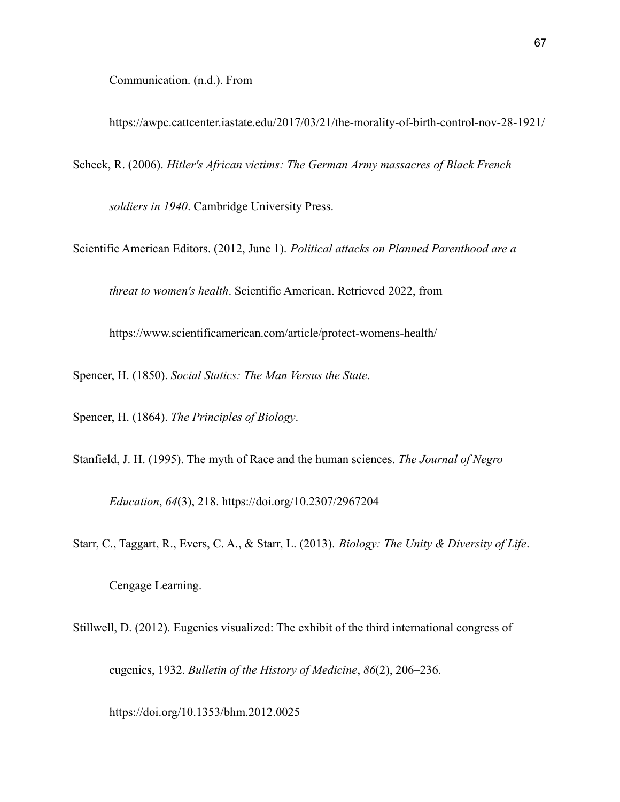Communication. (n.d.). From

https://awpc.cattcenter.iastate.edu/2017/03/21/the-morality-of-birth-control-nov-28-1921/

Scheck, R. (2006). *Hitler's African victims: The German Army massacres of Black French*

*soldiers in 1940*. Cambridge University Press.

Scientific American Editors. (2012, June 1). *Political attacks on Planned Parenthood are a*

*threat to women's health*. Scientific American. Retrieved 2022, from

https://www.scientificamerican.com/article/protect-womens-health/

Spencer, H. (1850). *Social Statics: The Man Versus the State*.

Spencer, H. (1864). *The Principles of Biology*.

Stanfield, J. H. (1995). The myth of Race and the human sciences. *The Journal of Negro*

*Education*, *64*(3), 218. https://doi.org/10.2307/2967204

Starr, C., Taggart, R., Evers, C. A., & Starr, L. (2013). *Biology: The Unity & Diversity of Life*.

Cengage Learning.

Stillwell, D. (2012). Eugenics visualized: The exhibit of the third international congress of

eugenics, 1932. *Bulletin of the History of Medicine*, *86*(2), 206–236.

https://doi.org/10.1353/bhm.2012.0025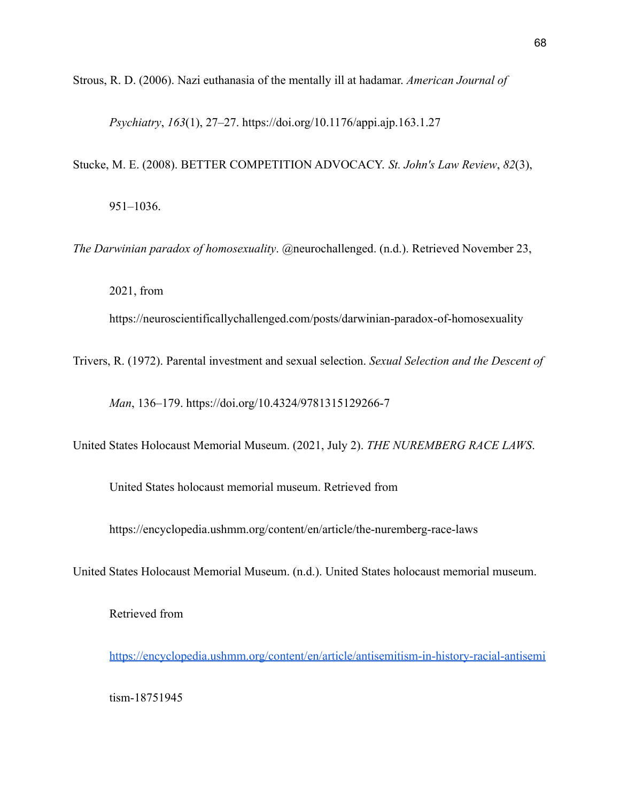Strous, R. D. (2006). Nazi euthanasia of the mentally ill at hadamar. *American Journal of*

*Psychiatry*, *163*(1), 27–27. https://doi.org/10.1176/appi.ajp.163.1.27

Stucke, M. E. (2008). BETTER COMPETITION ADVOCACY. *St. John's Law Review*, *82*(3),

951–1036.

*The Darwinian paradox of homosexuality*. @neurochallenged. (n.d.). Retrieved November 23,

2021, from

https://neuroscientificallychallenged.com/posts/darwinian-paradox-of-homosexuality

Trivers, R. (1972). Parental investment and sexual selection. *Sexual Selection and the Descent of*

*Man*, 136–179. https://doi.org/10.4324/9781315129266-7

United States Holocaust Memorial Museum. (2021, July 2). *THE NUREMBERG RACE LAWS*.

United States holocaust memorial museum. Retrieved from

https://encyclopedia.ushmm.org/content/en/article/the-nuremberg-race-laws

United States Holocaust Memorial Museum. (n.d.). United States holocaust memorial museum.

Retrieved from

<https://encyclopedia.ushmm.org/content/en/article/antisemitism-in-history-racial-antisemi>

tism-18751945